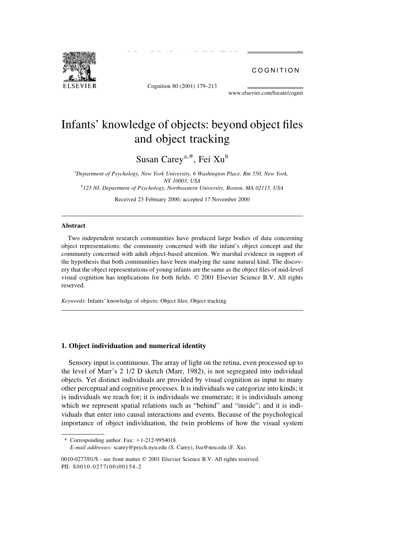

Cognition 80 (2001) 179-213

S. Carey, F. Xu (2001) 179±213 179±213 179±213 179±213 179±213 179±213 179±213 179±213 179±213 179±213 179±213

# COGNITION

www.elsevier.com/locate/cognit

# Infants' knowledge of objects: beyond object files and object tracking

Susan Carey<sup>a,\*</sup>, Fei Xu<sup>b</sup>

<sup>a</sup>Department of Psychology, New York University, 6 Washington Place, Rm 550, New York, NY 10003, USA

<sup>b</sup>125 NI, Department of Psychology, Northeastern University, Boston, MA 02115, USA

Received 23 February 2000; accepted 17 November 2000

### Abstract

Two independent research communities have produced large bodies of data concerning object representations: the community concerned with the infant's object concept and the community concerned with adult object-based attention. We marshal evidence in support of the hypothesis that both communities have been studying the same natural kind. The discovery that the object representations of young infants are the same as the object files of mid-level visual cognition has implications for both fields.  $© 2001$  Elsevier Science B.V. All rights reserved.

Keywords: Infants' knowledge of objects; Object files; Object tracking

#### 1. Object individuation and numerical identity

Sensory input is continuous. The array of light on the retina, even processed up to the level of Marr's 2 1/2 D sketch (Marr, 1982), is not segregated into individual objects. Yet distinct individuals are provided by visual cognition as input to many other perceptual and cognitive processes. It is individuals we categorize into kinds; it is individuals we reach for; it is individuals we enumerate; it is individuals among which we represent spatial relations such as "behind" and "inside"; and it is individuals that enter into causal interactions and events. Because of the psychological importance of object individuation, the twin problems of how the visual system

<sup>\*</sup> Corresponding author. Fax:  $+1-212-9954018$ .

E-mail addresses: scarey@psych.nyu.edu (S. Carey), fxu@neu.edu (F. Xu).

<sup>0010-0277/01/\$ -</sup> see front matter © 2001 Elsevier Science B.V. All rights reserved. PII: S0010-0277(00)00154-2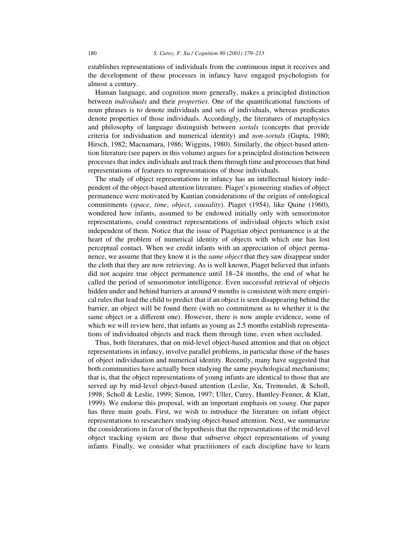establishes representations of individuals from the continuous input it receives and the development of these processes in infancy have engaged psychologists for almost a century.

Human language, and cognition more generally, makes a principled distinction between *individuals* and their *properties*. One of the quantificational functions of noun phrases is to denote individuals and sets of individuals, whereas predicates denote properties of those individuals. Accordingly, the literatures of metaphysics and philosophy of language distinguish between sortals (concepts that provide criteria for individuation and numerical identity) and non-sortals (Gupta, 1980; Hirsch, 1982; Macnamara, 1986; Wiggins, 1980). Similarly, the object-based attention literature (see papers in this volume) argues for a principled distinction between processes that index individuals and track them through time and processes that bind representations of features to representations of those individuals.

The study of object representations in infancy has an intellectual history independent of the object-based attention literature. Piaget's pioneering studies of object permanence were motivated by Kantian considerations of the origins of ontological commitments (space, time, object, causality). Piaget (1954), like Quine (1960), wondered how infants, assumed to be endowed initially only with sensorimotor representations, could construct representations of individual objects which exist independent of them. Notice that the issue of Piagetian object permanence is at the heart of the problem of numerical identity of objects with which one has lost perceptual contact. When we credit infants with an appreciation of object permanence, we assume that they know it is the same object that they saw disappear under the cloth that they are now retrieving. As is well known, Piaget believed that infants did not acquire true object permanence until 18–24 months, the end of what he called the period of sensorimotor intelligence. Even successful retrieval of objects hidden under and behind barriers at around 9 months is consistent with mere empirical rules that lead the child to predict that if an object is seen disappearing behind the barrier, an object will be found there (with no commitment as to whether it is the same object or a different one). However, there is now ample evidence, some of which we will review here, that infants as young as 2.5 months establish representations of individuated objects and track them through time, even when occluded.

Thus, both literatures, that on mid-level object-based attention and that on object representations in infancy, involve parallel problems, in particular those of the bases of object individuation and numerical identity. Recently, many have suggested that both communities have actually been studying the same psychological mechanisms; that is, that the object representations of young infants are identical to those that are served up by mid-level object-based attention (Leslie, Xu, Tremoulet, & Scholl, 1998; Scholl & Leslie, 1999; Simon, 1997; Uller, Carey, Huntley-Fenner, & Klatt, 1999). We endorse this proposal, with an important emphasis on young. Our paper has three main goals. First, we wish to introduce the literature on infant object representations to researchers studying object-based attention. Next, we summarize the considerations in favor of the hypothesis that the representations of the mid-level object tracking system are those that subserve object representations of young infants. Finally, we consider what practitioners of each discipline have to learn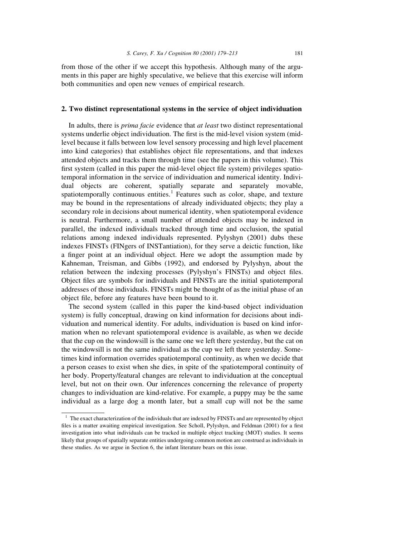from those of the other if we accept this hypothesis. Although many of the arguments in this paper are highly speculative, we believe that this exercise will inform both communities and open new venues of empirical research.

### 2. Two distinct representational systems in the service of object individuation

In adults, there is prima facie evidence that at least two distinct representational systems underlie object individuation. The first is the mid-level vision system (midlevel because it falls between low level sensory processing and high level placement into kind categories) that establishes object file representations, and that indexes attended objects and tracks them through time (see the papers in this volume). This first system (called in this paper the mid-level object file system) privileges spatiotemporal information in the service of individuation and numerical identity. Individual objects are coherent, spatially separate and separately movable, spatiotemporally continuous entities.<sup>1</sup> Features such as color, shape, and texture may be bound in the representations of already individuated objects; they play a secondary role in decisions about numerical identity, when spatiotemporal evidence is neutral. Furthermore, a small number of attended objects may be indexed in parallel, the indexed individuals tracked through time and occlusion, the spatial relations among indexed individuals represented. Pylyshyn (2001) dubs these indexes FINSTs (FINgers of INSTantiation), for they serve a deictic function, like a finger point at an individual object. Here we adopt the assumption made by Kahneman, Treisman, and Gibbs (1992), and endorsed by Pylyshyn, about the relation between the indexing processes (Pylyshyn's FINSTs) and object files. Object files are symbols for individuals and FINSTs are the initial spatiotemporal addresses of those individuals. FINSTs might be thought of as the initial phase of an object file, before any features have been bound to it.

The second system (called in this paper the kind-based object individuation system) is fully conceptual, drawing on kind information for decisions about individuation and numerical identity. For adults, individuation is based on kind information when no relevant spatiotemporal evidence is available, as when we decide that the cup on the windowsill is the same one we left there yesterday, but the cat on the windowsill is not the same individual as the cup we left there yesterday. Sometimes kind information overrides spatiotemporal continuity, as when we decide that a person ceases to exist when she dies, in spite of the spatiotemporal continuity of her body. Property/featural changes are relevant to individuation at the conceptual level, but not on their own. Our inferences concerning the relevance of property changes to individuation are kind-relative. For example, a puppy may be the same individual as a large dog a month later, but a small cup will not be the same

 $1$  The exact characterization of the individuals that are indexed by FINSTs and are represented by object files is a matter awaiting empirical investigation. See Scholl, Pylyshyn, and Feldman (2001) for a first investigation into what individuals can be tracked in multiple object tracking (MOT) studies. It seems likely that groups of spatially separate entities undergoing common motion are construed as individuals in these studies. As we argue in Section 6, the infant literature bears on this issue.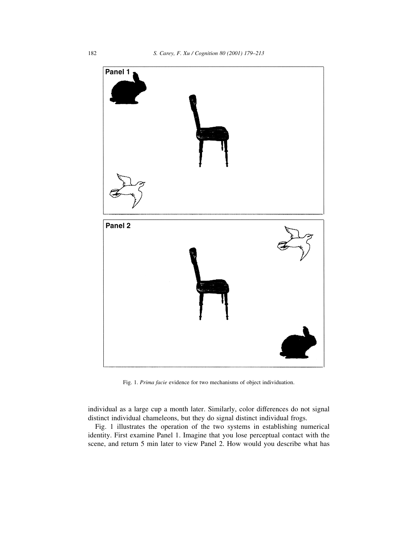

Fig. 1. Prima facie evidence for two mechanisms of object individuation.

individual as a large cup a month later. Similarly, color differences do not signal distinct individual chameleons, but they do signal distinct individual frogs.

Fig. 1 illustrates the operation of the two systems in establishing numerical identity. First examine Panel 1. Imagine that you lose perceptual contact with the scene, and return 5 min later to view Panel 2. How would you describe what has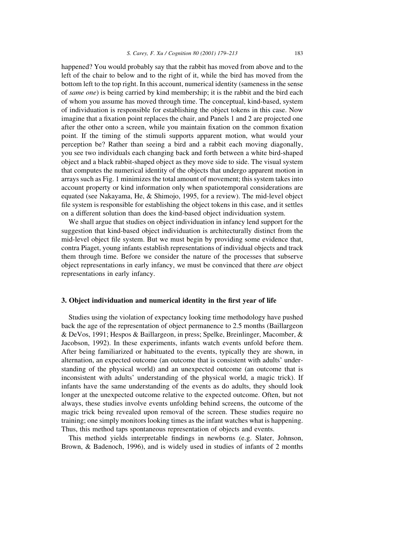happened? You would probably say that the rabbit has moved from above and to the left of the chair to below and to the right of it, while the bird has moved from the bottom left to the top right. In this account, numerical identity (sameness in the sense of same one) is being carried by kind membership; it is the rabbit and the bird each of whom you assume has moved through time. The conceptual, kind-based, system of individuation is responsible for establishing the object tokens in this case. Now imagine that a fixation point replaces the chair, and Panels 1 and 2 are projected one after the other onto a screen, while you maintain fixation on the common fixation point. If the timing of the stimuli supports apparent motion, what would your perception be? Rather than seeing a bird and a rabbit each moving diagonally, you see two individuals each changing back and forth between a white bird-shaped object and a black rabbit-shaped object as they move side to side. The visual system that computes the numerical identity of the objects that undergo apparent motion in arrays such as Fig. 1 minimizes the total amount of movement; this system takes into account property or kind information only when spatiotemporal considerations are equated (see Nakayama, He, & Shimojo, 1995, for a review). The mid-level object file system is responsible for establishing the object tokens in this case, and it settles on a different solution than does the kind-based object individuation system.

We shall argue that studies on object individuation in infancy lend support for the suggestion that kind-based object individuation is architecturally distinct from the mid-level object file system. But we must begin by providing some evidence that, contra Piaget, young infants establish representations of individual objects and track them through time. Before we consider the nature of the processes that subserve object representations in early infancy, we must be convinced that there are object representations in early infancy.

# 3. Object individuation and numerical identity in the first year of life

Studies using the violation of expectancy looking time methodology have pushed back the age of the representation of object permanence to 2.5 months (Baillargeon & DeVos, 1991; Hespos & Baillargeon, in press; Spelke, Breinlinger, Macomber, & Jacobson, 1992). In these experiments, infants watch events unfold before them. After being familiarized or habituated to the events, typically they are shown, in alternation, an expected outcome (an outcome that is consistent with adults' understanding of the physical world) and an unexpected outcome (an outcome that is inconsistent with adults' understanding of the physical world, a magic trick). If infants have the same understanding of the events as do adults, they should look longer at the unexpected outcome relative to the expected outcome. Often, but not always, these studies involve events unfolding behind screens, the outcome of the magic trick being revealed upon removal of the screen. These studies require no training; one simply monitors looking times as the infant watches what is happening. Thus, this method taps spontaneous representation of objects and events.

This method yields interpretable findings in newborns (e.g. Slater, Johnson, Brown, & Badenoch, 1996), and is widely used in studies of infants of 2 months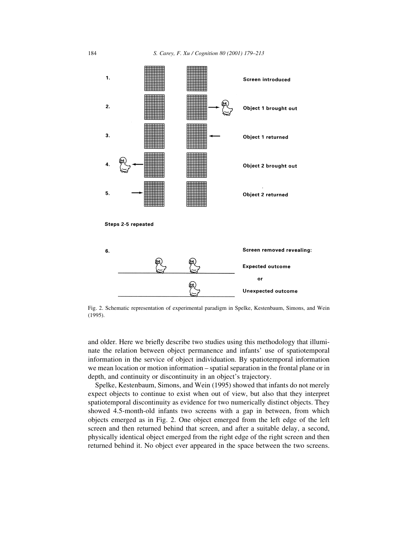

Fig. 2. Schematic representation of experimental paradigm in Spelke, Kestenbaum, Simons, and Wein (1995).

and older. Here we briefly describe two studies using this methodology that illuminate the relation between object permanence and infants' use of spatiotemporal information in the service of object individuation. By spatiotemporal information we mean location or motion information - spatial separation in the frontal plane or in depth, and continuity or discontinuity in an object's trajectory.

Spelke, Kestenbaum, Simons, and Wein (1995) showed that infants do not merely expect objects to continue to exist when out of view, but also that they interpret spatiotemporal discontinuity as evidence for two numerically distinct objects. They showed 4.5-month-old infants two screens with a gap in between, from which objects emerged as in Fig. 2. One object emerged from the left edge of the left screen and then returned behind that screen, and after a suitable delay, a second, physically identical object emerged from the right edge of the right screen and then returned behind it. No object ever appeared in the space between the two screens.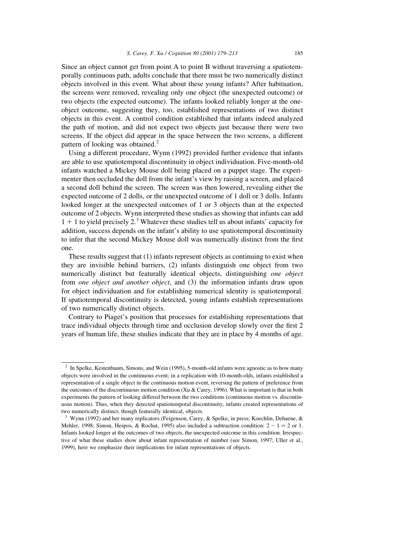Since an object cannot get from point A to point B without traversing a spatiotemporally continuous path, adults conclude that there must be two numerically distinct objects involved in this event. What about these young infants? After habituation, the screens were removed, revealing only one object (the unexpected outcome) or two objects (the expected outcome). The infants looked reliably longer at the oneobject outcome, suggesting they, too, established representations of two distinct objects in this event. A control condition established that infants indeed analyzed the path of motion, and did not expect two objects just because there were two screens. If the object did appear in the space between the two screens, a different pattern of looking was obtained.<sup>2</sup>

Using a different procedure, Wynn (1992) provided further evidence that infants are able to use spatiotemporal discontinuity in object individuation. Five-month-old infants watched a Mickey Mouse doll being placed on a puppet stage. The experimenter then occluded the doll from the infant's view by raising a screen, and placed a second doll behind the screen. The screen was then lowered, revealing either the expected outcome of 2 dolls, or the unexpected outcome of 1 doll or 3 dolls. Infants looked longer at the unexpected outcomes of 1 or 3 objects than at the expected outcome of 2 objects. Wynn interpreted these studies as showing that infants can add  $1 + 1$  to yield precisely  $2<sup>3</sup>$  Whatever these studies tell us about infants' capacity for addition, success depends on the infant's ability to use spatiotemporal discontinuity to infer that the second Mickey Mouse doll was numerically distinct from the first one.

These results suggest that (1) infants represent objects as continuing to exist when they are invisible behind barriers, (2) infants distinguish one object from two numerically distinct but featurally identical objects, distinguishing one object from one object and another object, and (3) the information infants draw upon for object individuation and for establishing numerical identity is spatiotemporal. If spatiotemporal discontinuity is detected, young infants establish representations of two numerically distinct objects.

Contrary to Piaget's position that processes for establishing representations that trace individual objects through time and occlusion develop slowly over the first 2 years of human life, these studies indicate that they are in place by 4 months of age.

 $2 \text{ In Spelke, Kestenbaum, Simons, and Wein (1995), 5-month-old infants were agnostic as to how many$ objects were involved in the continuous event; in a replication with 10-month-olds, infants established a representation of a single object in the continuous motion event, reversing the pattern of preference from the outcomes of the discontinuous motion condition (Xu & Carey, 1996). What is important is that in both experiments the pattern of looking differed between the two conditions (continuous motion vs. discontinuous motion). Thus, when they detected spatiotemporal discontinuity, infants created representations of two numerically distinct, though featurally identical, objects.

<sup>&</sup>lt;sup>3</sup> Wynn (1992) and her many replicators (Feigenson, Carey, & Spelke, in press; Koechlin, Dehaene, & Mehler, 1998; Simon, Hespos, & Rochat, 1995) also included a subtraction condition:  $2 - 1 = 2$  or 1. Infants looked longer at the outcomes of two objects, the unexpected outcome in this condition. Irrespective of what these studies show about infant representation of number (see Simon, 1997; Uller et al., 1999), here we emphasize their implications for infant representations of objects.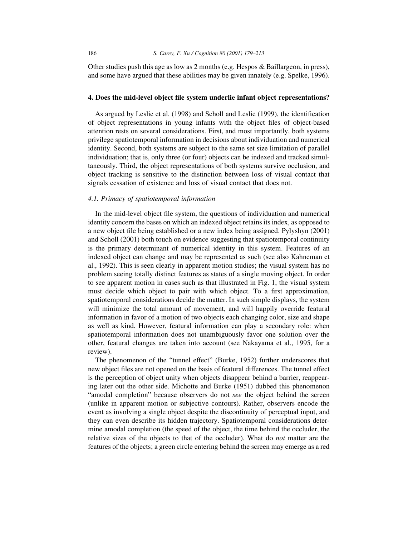Other studies push this age as low as 2 months (e.g. Hespos & Baillargeon, in press), and some have argued that these abilities may be given innately (e.g. Spelke, 1996).

### 4. Does the mid-level object file system underlie infant object representations?

As argued by Leslie et al. (1998) and Scholl and Leslie (1999), the identification of object representations in young infants with the object files of object-based attention rests on several considerations. First, and most importantly, both systems privilege spatiotemporal information in decisions about individuation and numerical identity. Second, both systems are subject to the same set size limitation of parallel individuation; that is, only three (or four) objects can be indexed and tracked simultaneously. Third, the object representations of both systems survive occlusion, and object tracking is sensitive to the distinction between loss of visual contact that signals cessation of existence and loss of visual contact that does not.

# 4.1. Primacy of spatiotemporal information

In the mid-level object file system, the questions of individuation and numerical identity concern the bases on which an indexed object retains its index, as opposed to a new object file being established or a new index being assigned. Pylyshyn (2001) and Scholl (2001) both touch on evidence suggesting that spatiotemporal continuity is the primary determinant of numerical identity in this system. Features of an indexed object can change and may be represented as such (see also Kahneman et al., 1992). This is seen clearly in apparent motion studies; the visual system has no problem seeing totally distinct features as states of a single moving object. In order to see apparent motion in cases such as that illustrated in Fig. 1, the visual system must decide which object to pair with which object. To a first approximation, spatiotemporal considerations decide the matter. In such simple displays, the system will minimize the total amount of movement, and will happily override featural information in favor of a motion of two objects each changing color, size and shape as well as kind. However, featural information can play a secondary role: when spatiotemporal information does not unambiguously favor one solution over the other, featural changes are taken into account (see Nakayama et al., 1995, for a review).

The phenomenon of the "tunnel effect" (Burke, 1952) further underscores that new object files are not opened on the basis of featural differences. The tunnel effect is the perception of object unity when objects disappear behind a barrier, reappearing later out the other side. Michotte and Burke (1951) dubbed this phenomenon "amodal completion" because observers do not see the object behind the screen (unlike in apparent motion or subjective contours). Rather, observers encode the event as involving a single object despite the discontinuity of perceptual input, and they can even describe its hidden trajectory. Spatiotemporal considerations determine amodal completion (the speed of the object, the time behind the occluder, the relative sizes of the objects to that of the occluder). What do not matter are the features of the objects; a green circle entering behind the screen may emerge as a red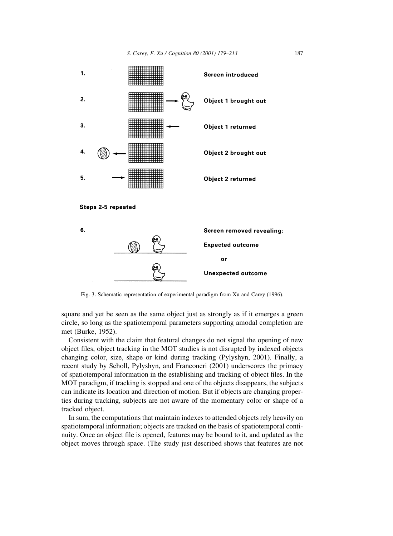

Fig. 3. Schematic representation of experimental paradigm from Xu and Carey (1996).

square and yet be seen as the same object just as strongly as if it emerges a green circle, so long as the spatiotemporal parameters supporting amodal completion are met (Burke, 1952).

Consistent with the claim that featural changes do not signal the opening of new object files, object tracking in the MOT studies is not disrupted by indexed objects changing color, size, shape or kind during tracking (Pylyshyn, 2001). Finally, a recent study by Scholl, Pylyshyn, and Franconeri (2001) underscores the primacy of spatiotemporal information in the establishing and tracking of object files. In the MOT paradigm, if tracking is stopped and one of the objects disappears, the subjects can indicate its location and direction of motion. But if objects are changing properties during tracking, subjects are not aware of the momentary color or shape of a tracked object.

In sum, the computations that maintain indexes to attended objects rely heavily on spatiotemporal information; objects are tracked on the basis of spatiotemporal continuity. Once an object file is opened, features may be bound to it, and updated as the object moves through space. (The study just described shows that features are not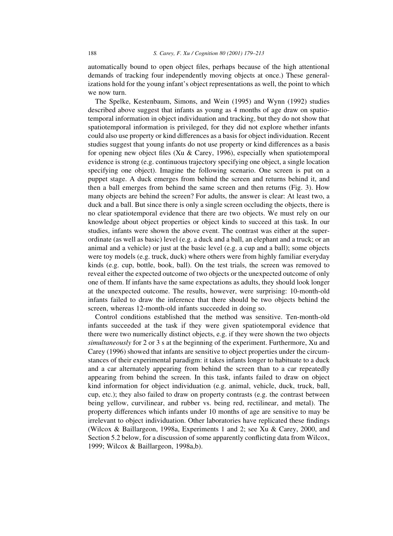automatically bound to open object files, perhaps because of the high attentional demands of tracking four independently moving objects at once.) These generalizations hold for the young infant's object representations as well, the point to which we now turn.

The Spelke, Kestenbaum, Simons, and Wein (1995) and Wynn (1992) studies described above suggest that infants as young as 4 months of age draw on spatiotemporal information in object individuation and tracking, but they do not show that spatiotemporal information is privileged, for they did not explore whether infants could also use property or kind differences as a basis for object individuation. Recent studies suggest that young infants do not use property or kind differences as a basis for opening new object files (Xu & Carey, 1996), especially when spatiotemporal evidence is strong (e.g. continuous trajectory specifying one object, a single location specifying one object). Imagine the following scenario. One screen is put on a puppet stage. A duck emerges from behind the screen and returns behind it, and then a ball emerges from behind the same screen and then returns (Fig. 3). How many objects are behind the screen? For adults, the answer is clear: At least two, a duck and a ball. But since there is only a single screen occluding the objects, there is no clear spatiotemporal evidence that there are two objects. We must rely on our knowledge about object properties or object kinds to succeed at this task. In our studies, infants were shown the above event. The contrast was either at the superordinate (as well as basic) level (e.g. a duck and a ball, an elephant and a truck; or an animal and a vehicle) or just at the basic level (e.g. a cup and a ball); some objects were toy models (e.g. truck, duck) where others were from highly familiar everyday kinds (e.g. cup, bottle, book, ball). On the test trials, the screen was removed to reveal either the expected outcome of two objects or the unexpected outcome of only one of them. If infants have the same expectations as adults, they should look longer at the unexpected outcome. The results, however, were surprising: 10-month-old infants failed to draw the inference that there should be two objects behind the screen, whereas 12-month-old infants succeeded in doing so.

Control conditions established that the method was sensitive. Ten-month-old infants succeeded at the task if they were given spatiotemporal evidence that there were two numerically distinct objects, e.g. if they were shown the two objects simultaneously for 2 or 3 s at the beginning of the experiment. Furthermore, Xu and Carey (1996) showed that infants are sensitive to object properties under the circumstances of their experimental paradigm: it takes infants longer to habituate to a duck and a car alternately appearing from behind the screen than to a car repeatedly appearing from behind the screen. In this task, infants failed to draw on object kind information for object individuation (e.g. animal, vehicle, duck, truck, ball, cup, etc.); they also failed to draw on property contrasts (e.g. the contrast between being yellow, curvilinear, and rubber vs. being red, rectilinear, and metal). The property differences which infants under 10 months of age are sensitive to may be irrelevant to object individuation. Other laboratories have replicated these findings (Wilcox & Baillargeon, 1998a, Experiments 1 and 2; see Xu & Carey, 2000, and Section 5.2 below, for a discussion of some apparently conflicting data from Wilcox, 1999; Wilcox & Baillargeon, 1998a,b).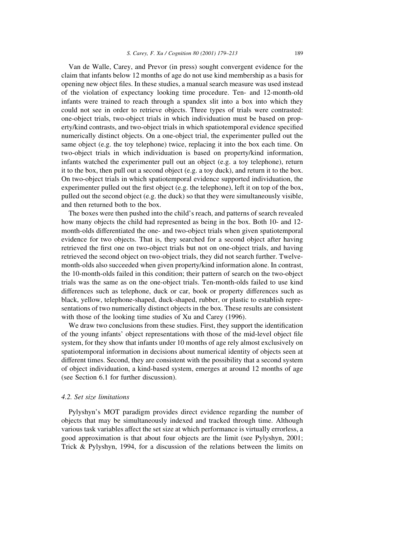Van de Walle, Carey, and Prevor (in press) sought convergent evidence for the claim that infants below 12 months of age do not use kind membership as a basis for opening new object files. In these studies, a manual search measure was used instead of the violation of expectancy looking time procedure. Ten- and 12-month-old infants were trained to reach through a spandex slit into a box into which they could not see in order to retrieve objects. Three types of trials were contrasted: one-object trials, two-object trials in which individuation must be based on property/kind contrasts, and two-object trials in which spatiotemporal evidence specified numerically distinct objects. On a one-object trial, the experimenter pulled out the same object (e.g. the toy telephone) twice, replacing it into the box each time. On two-object trials in which individuation is based on property/kind information, infants watched the experimenter pull out an object (e.g. a toy telephone), return it to the box, then pull out a second object (e.g. a toy duck), and return it to the box. On two-object trials in which spatiotemporal evidence supported individuation, the experimenter pulled out the first object (e.g. the telephone), left it on top of the box, pulled out the second object (e.g. the duck) so that they were simultaneously visible, and then returned both to the box.

The boxes were then pushed into the child's reach, and patterns of search revealed how many objects the child had represented as being in the box. Both 10- and 12 month-olds differentiated the one- and two-object trials when given spatiotemporal evidence for two objects. That is, they searched for a second object after having retrieved the first one on two-object trials but not on one-object trials, and having retrieved the second object on two-object trials, they did not search further. Twelvemonth-olds also succeeded when given property/kind information alone. In contrast, the 10-month-olds failed in this condition; their pattern of search on the two-object trials was the same as on the one-object trials. Ten-month-olds failed to use kind differences such as telephone, duck or car, book or property differences such as black, yellow, telephone-shaped, duck-shaped, rubber, or plastic to establish representations of two numerically distinct objects in the box. These results are consistent with those of the looking time studies of Xu and Carey (1996).

We draw two conclusions from these studies. First, they support the identification of the young infants' object representations with those of the mid-level object file system, for they show that infants under 10 months of age rely almost exclusively on spatiotemporal information in decisions about numerical identity of objects seen at different times. Second, they are consistent with the possibility that a second system of object individuation, a kind-based system, emerges at around 12 months of age (see Section 6.1 for further discussion).

### 4.2. Set size limitations

Pylyshyn's MOT paradigm provides direct evidence regarding the number of objects that may be simultaneously indexed and tracked through time. Although various task variables affect the set size at which performance is virtually errorless, a good approximation is that about four objects are the limit (see Pylyshyn, 2001; Trick & Pylyshyn, 1994, for a discussion of the relations between the limits on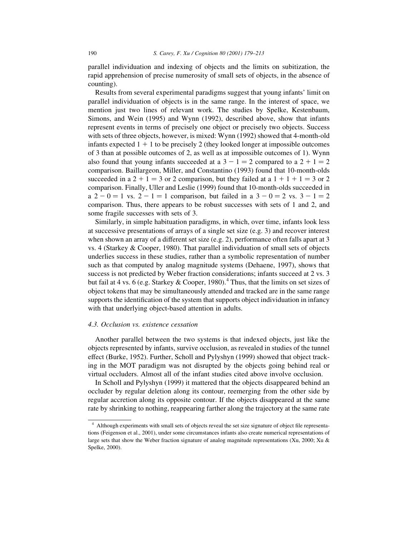parallel individuation and indexing of objects and the limits on subitization, the rapid apprehension of precise numerosity of small sets of objects, in the absence of counting).

Results from several experimental paradigms suggest that young infants' limit on parallel individuation of objects is in the same range. In the interest of space, we mention just two lines of relevant work. The studies by Spelke, Kestenbaum, Simons, and Wein (1995) and Wynn (1992), described above, show that infants represent events in terms of precisely one object or precisely two objects. Success with sets of three objects, however, is mixed: Wynn (1992) showed that 4-month-old infants expected  $1 + 1$  to be precisely 2 (they looked longer at impossible outcomes of 3 than at possible outcomes of 2, as well as at impossible outcomes of 1). Wynn also found that young infants succeeded at a  $3 - 1 = 2$  compared to a  $2 + 1 = 2$ comparison. Baillargeon, Miller, and Constantino (1993) found that 10-month-olds succeeded in a  $2 + 1 = 3$  or 2 comparison, but they failed at a  $1 + 1 + 1 = 3$  or 2 comparison. Finally, Uller and Leslie (1999) found that 10-month-olds succeeded in a  $2 - 0 = 1$  vs.  $2 - 1 = 1$  comparison, but failed in a  $3 - 0 = 2$  vs.  $3 - 1 = 2$ comparison. Thus, there appears to be robust successes with sets of 1 and 2, and some fragile successes with sets of 3.

Similarly, in simple habituation paradigms, in which, over time, infants look less at successive presentations of arrays of a single set size (e.g. 3) and recover interest when shown an array of a different set size (e.g. 2), performance often falls apart at 3 vs. 4 (Starkey & Cooper, 1980). That parallel individuation of small sets of objects underlies success in these studies, rather than a symbolic representation of number such as that computed by analog magnitude systems (Dehaene, 1997), shows that success is not predicted by Weber fraction considerations; infants succeed at 2 vs. 3 but fail at 4 vs. 6 (e.g. Starkey & Cooper, 1980).<sup>4</sup> Thus, that the limits on set sizes of object tokens that may be simultaneously attended and tracked are in the same range supports the identification of the system that supports object individuation in infancy with that underlying object-based attention in adults.

#### 4.3. Occlusion vs. existence cessation

Another parallel between the two systems is that indexed objects, just like the objects represented by infants, survive occlusion, as revealed in studies of the tunnel effect (Burke, 1952). Further, Scholl and Pylyshyn (1999) showed that object tracking in the MOT paradigm was not disrupted by the objects going behind real or virtual occluders. Almost all of the infant studies cited above involve occlusion.

In Scholl and Pylyshyn (1999) it mattered that the objects disappeared behind an occluder by regular deletion along its contour, reemerging from the other side by regular accretion along its opposite contour. If the objects disappeared at the same rate by shrinking to nothing, reappearing farther along the trajectory at the same rate

<sup>&</sup>lt;sup>4</sup> Although experiments with small sets of objects reveal the set size signature of object file representations (Feigenson et al., 2001), under some circumstances infants also create numerical representations of large sets that show the Weber fraction signature of analog magnitude representations (Xu, 2000; Xu & Spelke, 2000).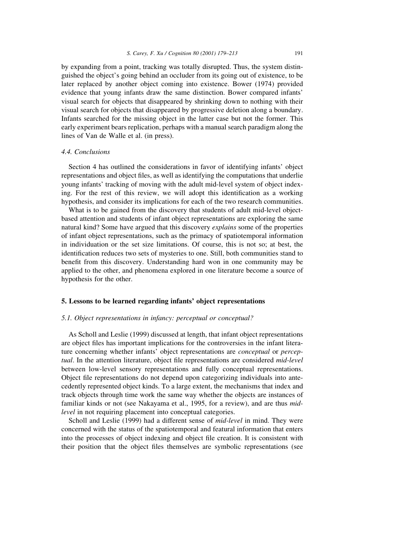by expanding from a point, tracking was totally disrupted. Thus, the system distinguished the object's going behind an occluder from its going out of existence, to be later replaced by another object coming into existence. Bower (1974) provided evidence that young infants draw the same distinction. Bower compared infants' visual search for objects that disappeared by shrinking down to nothing with their visual search for objects that disappeared by progressive deletion along a boundary. Infants searched for the missing object in the latter case but not the former. This early experiment bears replication, perhaps with a manual search paradigm along the lines of Van de Walle et al. (in press).

### 4.4. Conclusions

Section 4 has outlined the considerations in favor of identifying infants' object representations and object files, as well as identifying the computations that underlie young infants' tracking of moving with the adult mid-level system of object indexing. For the rest of this review, we will adopt this identification as a working hypothesis, and consider its implications for each of the two research communities.

What is to be gained from the discovery that students of adult mid-level objectbased attention and students of infant object representations are exploring the same natural kind? Some have argued that this discovery explains some of the properties of infant object representations, such as the primacy of spatiotemporal information in individuation or the set size limitations. Of course, this is not so; at best, the identification reduces two sets of mysteries to one. Still, both communities stand to benefit from this discovery. Understanding hard won in one community may be applied to the other, and phenomena explored in one literature become a source of hypothesis for the other.

# 5. Lessons to be learned regarding infants' object representations

### 5.1. Object representations in infancy: perceptual or conceptual?

As Scholl and Leslie (1999) discussed at length, that infant object representations are object files has important implications for the controversies in the infant literature concerning whether infants' object representations are conceptual or perceptual. In the attention literature, object file representations are considered mid-level between low-level sensory representations and fully conceptual representations. Object file representations do not depend upon categorizing individuals into antecedently represented object kinds. To a large extent, the mechanisms that index and track objects through time work the same way whether the objects are instances of familiar kinds or not (see Nakayama et al., 1995, for a review), and are thus midlevel in not requiring placement into conceptual categories.

Scholl and Leslie (1999) had a different sense of mid-level in mind. They were concerned with the status of the spatiotemporal and featural information that enters into the processes of object indexing and object file creation. It is consistent with their position that the object files themselves are symbolic representations (see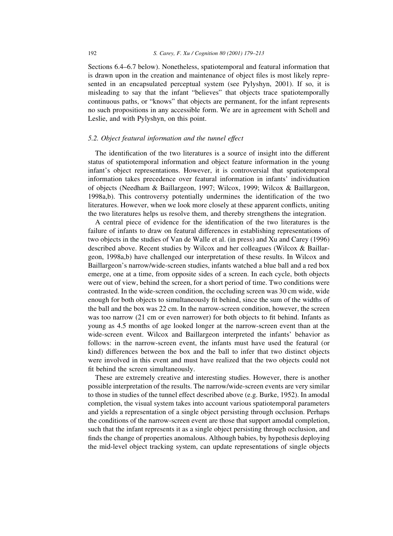Sections 6.4 $-6.7$  below). Nonetheless, spatiotemporal and featural information that is drawn upon in the creation and maintenance of object files is most likely represented in an encapsulated perceptual system (see Pylyshyn, 2001). If so, it is misleading to say that the infant "believes" that objects trace spatiotemporally continuous paths, or ªknowsº that objects are permanent, for the infant represents no such propositions in any accessible form. We are in agreement with Scholl and Leslie, and with Pylyshyn, on this point.

### 5.2. Object featural information and the tunnel effect

The identification of the two literatures is a source of insight into the different status of spatiotemporal information and object feature information in the young infant's object representations. However, it is controversial that spatiotemporal information takes precedence over featural information in infants' individuation of objects (Needham & Baillargeon, 1997; Wilcox, 1999; Wilcox & Baillargeon, 1998a,b). This controversy potentially undermines the identification of the two literatures. However, when we look more closely at these apparent conflicts, uniting the two literatures helps us resolve them, and thereby strengthens the integration.

A central piece of evidence for the identification of the two literatures is the failure of infants to draw on featural differences in establishing representations of two objects in the studies of Van de Walle et al. (in press) and Xu and Carey (1996) described above. Recent studies by Wilcox and her colleagues (Wilcox & Baillargeon, 1998a,b) have challenged our interpretation of these results. In Wilcox and Baillargeon's narrow/wide-screen studies, infants watched a blue ball and a red box emerge, one at a time, from opposite sides of a screen. In each cycle, both objects were out of view, behind the screen, for a short period of time. Two conditions were contrasted. In the wide-screen condition, the occluding screen was 30 cm wide, wide enough for both objects to simultaneously fit behind, since the sum of the widths of the ball and the box was 22 cm. In the narrow-screen condition, however, the screen was too narrow  $(21 \text{ cm})$  or even narrower) for both objects to fit behind. Infants as young as 4.5 months of age looked longer at the narrow-screen event than at the wide-screen event. Wilcox and Baillargeon interpreted the infants' behavior as follows: in the narrow-screen event, the infants must have used the featural (or kind) differences between the box and the ball to infer that two distinct objects were involved in this event and must have realized that the two objects could not fit behind the screen simultaneously.

These are extremely creative and interesting studies. However, there is another possible interpretation of the results. The narrow/wide-screen events are very similar to those in studies of the tunnel effect described above (e.g. Burke, 1952). In amodal completion, the visual system takes into account various spatiotemporal parameters and yields a representation of a single object persisting through occlusion. Perhaps the conditions of the narrow-screen event are those that support amodal completion, such that the infant represents it as a single object persisting through occlusion, and finds the change of properties anomalous. Although babies, by hypothesis deploying the mid-level object tracking system, can update representations of single objects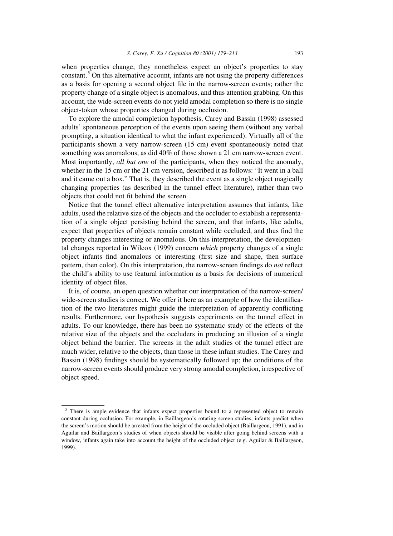when properties change, they nonetheless expect an object's properties to stay constant.<sup>5</sup> On this alternative account, infants are not using the property differences as a basis for opening a second object file in the narrow-screen events; rather the property change of a single object is anomalous, and thus attention grabbing. On this account, the wide-screen events do not yield amodal completion so there is no single object-token whose properties changed during occlusion.

To explore the amodal completion hypothesis, Carey and Bassin (1998) assessed adults' spontaneous perception of the events upon seeing them (without any verbal prompting, a situation identical to what the infant experienced). Virtually all of the participants shown a very narrow-screen (15 cm) event spontaneously noted that something was anomalous, as did 40% of those shown a 21 cm narrow-screen event. Most importantly, *all but one* of the participants, when they noticed the anomaly, whether in the 15 cm or the 21 cm version, described it as follows: "It went in a ball and it came out a box." That is, they described the event as a single object magically changing properties (as described in the tunnel effect literature), rather than two objects that could not fit behind the screen.

Notice that the tunnel effect alternative interpretation assumes that infants, like adults, used the relative size of the objects and the occluder to establish a representation of a single object persisting behind the screen, and that infants, like adults, expect that properties of objects remain constant while occluded, and thus find the property changes interesting or anomalous. On this interpretation, the developmental changes reported in Wilcox (1999) concern which property changes of a single object infants find anomalous or interesting (first size and shape, then surface pattern, then color). On this interpretation, the narrow-screen findings do *not* reflect the child's ability to use featural information as a basis for decisions of numerical identity of object files.

It is, of course, an open question whether our interpretation of the narrow-screen/ wide-screen studies is correct. We offer it here as an example of how the identification of the two literatures might guide the interpretation of apparently conflicting results. Furthermore, our hypothesis suggests experiments on the tunnel effect in adults. To our knowledge, there has been no systematic study of the effects of the relative size of the objects and the occluders in producing an illusion of a single object behind the barrier. The screens in the adult studies of the tunnel effect are much wider, relative to the objects, than those in these infant studies. The Carey and Bassin (1998) findings should be systematically followed up; the conditions of the narrow-screen events should produce very strong amodal completion, irrespective of object speed.

<sup>&</sup>lt;sup>5</sup> There is ample evidence that infants expect properties bound to a represented object to remain constant during occlusion. For example, in Baillargeon's rotating screen studies, infants predict when the screen's motion should be arrested from the height of the occluded object (Baillargeon, 1991), and in Aguilar and Baillargeon's studies of when objects should be visible after going behind screens with a window, infants again take into account the height of the occluded object (e.g. Aguilar & Baillargeon, 1999).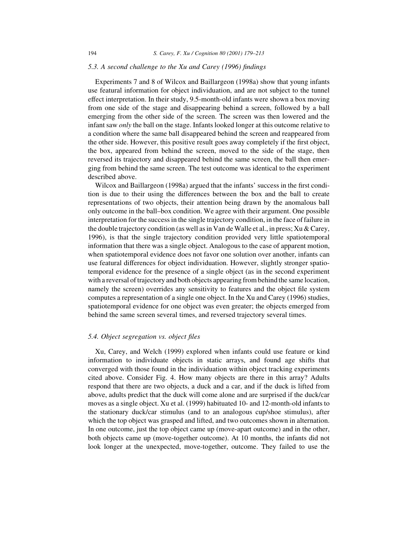# 5.3. A second challenge to the Xu and Carey (1996) findings

Experiments 7 and 8 of Wilcox and Baillargeon (1998a) show that young infants use featural information for object individuation, and are not subject to the tunnel effect interpretation. In their study, 9.5-month-old infants were shown a box moving from one side of the stage and disappearing behind a screen, followed by a ball emerging from the other side of the screen. The screen was then lowered and the infant saw only the ball on the stage. Infants looked longer at this outcome relative to a condition where the same ball disappeared behind the screen and reappeared from the other side. However, this positive result goes away completely if the first object, the box, appeared from behind the screen, moved to the side of the stage, then reversed its trajectory and disappeared behind the same screen, the ball then emerging from behind the same screen. The test outcome was identical to the experiment described above.

Wilcox and Baillargeon (1998a) argued that the infants' success in the first condition is due to their using the differences between the box and the ball to create representations of two objects, their attention being drawn by the anomalous ball only outcome in the ball-box condition. We agree with their argument. One possible interpretation for the success in the single trajectory condition, in the face of failure in the double trajectory condition (as well as in Van de Walle et al., in press; Xu & Carey, 1996), is that the single trajectory condition provided very little spatiotemporal information that there was a single object. Analogous to the case of apparent motion, when spatiotemporal evidence does not favor one solution over another, infants can use featural differences for object individuation. However, slightly stronger spatiotemporal evidence for the presence of a single object (as in the second experiment with a reversal of trajectory and both objects appearing from behind the same location, namely the screen) overrides any sensitivity to features and the object file system computes a representation of a single one object. In the Xu and Carey (1996) studies, spatiotemporal evidence for one object was even greater; the objects emerged from behind the same screen several times, and reversed trajectory several times.

### 5.4. Object segregation vs. object files

Xu, Carey, and Welch (1999) explored when infants could use feature or kind information to individuate objects in static arrays, and found age shifts that converged with those found in the individuation within object tracking experiments cited above. Consider Fig. 4. How many objects are there in this array? Adults respond that there are two objects, a duck and a car, and if the duck is lifted from above, adults predict that the duck will come alone and are surprised if the duck/car moves as a single object. Xu et al. (1999) habituated 10- and 12-month-old infants to the stationary duck/car stimulus (and to an analogous cup/shoe stimulus), after which the top object was grasped and lifted, and two outcomes shown in alternation. In one outcome, just the top object came up (move-apart outcome) and in the other, both objects came up (move-together outcome). At 10 months, the infants did not look longer at the unexpected, move-together, outcome. They failed to use the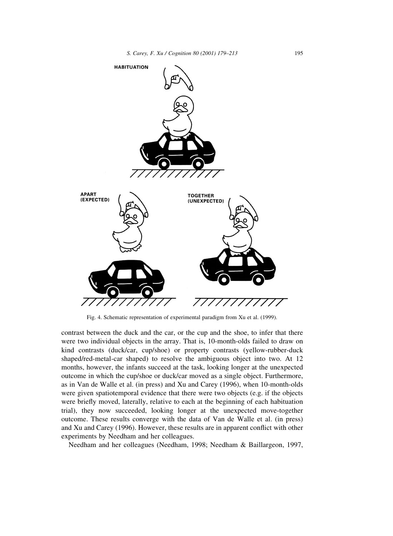

Fig. 4. Schematic representation of experimental paradigm from Xu et al. (1999).

contrast between the duck and the car, or the cup and the shoe, to infer that there were two individual objects in the array. That is, 10-month-olds failed to draw on kind contrasts (duck/car, cup/shoe) or property contrasts (yellow-rubber-duck shaped/red-metal-car shaped) to resolve the ambiguous object into two. At 12 months, however, the infants succeed at the task, looking longer at the unexpected outcome in which the cup/shoe or duck/car moved as a single object. Furthermore, as in Van de Walle et al. (in press) and Xu and Carey (1996), when 10-month-olds were given spatiotemporal evidence that there were two objects (e.g. if the objects were briefly moved, laterally, relative to each at the beginning of each habituation trial), they now succeeded, looking longer at the unexpected move-together outcome. These results converge with the data of Van de Walle et al. (in press) and Xu and Carey (1996). However, these results are in apparent conflict with other experiments by Needham and her colleagues.

Needham and her colleagues (Needham, 1998; Needham & Baillargeon, 1997,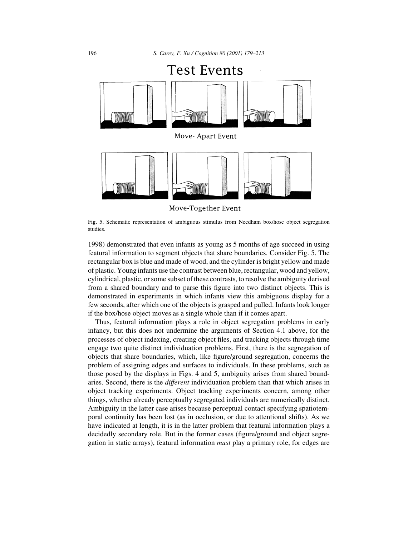

Fig. 5. Schematic representation of ambiguous stimulus from Needham box/hose object segregation studies.

1998) demonstrated that even infants as young as 5 months of age succeed in using featural information to segment objects that share boundaries. Consider Fig. 5. The rectangular box is blue and made of wood, and the cylinder is bright yellow and made of plastic. Young infants use the contrast between blue, rectangular, wood and yellow, cylindrical, plastic, or some subset of these contrasts, to resolve the ambiguity derived from a shared boundary and to parse this figure into two distinct objects. This is demonstrated in experiments in which infants view this ambiguous display for a few seconds, after which one of the objects is grasped and pulled. Infants look longer if the box/hose object moves as a single whole than if it comes apart.

Thus, featural information plays a role in object segregation problems in early infancy, but this does not undermine the arguments of Section 4.1 above, for the processes of object indexing, creating object files, and tracking objects through time engage two quite distinct individuation problems. First, there is the segregation of objects that share boundaries, which, like figure/ground segregation, concerns the problem of assigning edges and surfaces to individuals. In these problems, such as those posed by the displays in Figs. 4 and 5, ambiguity arises from shared boundaries. Second, there is the different individuation problem than that which arises in object tracking experiments. Object tracking experiments concern, among other things, whether already perceptually segregated individuals are numerically distinct. Ambiguity in the latter case arises because perceptual contact specifying spatiotemporal continuity has been lost (as in occlusion, or due to attentional shifts). As we have indicated at length, it is in the latter problem that featural information plays a decidedly secondary role. But in the former cases (figure/ground and object segregation in static arrays), featural information must play a primary role, for edges are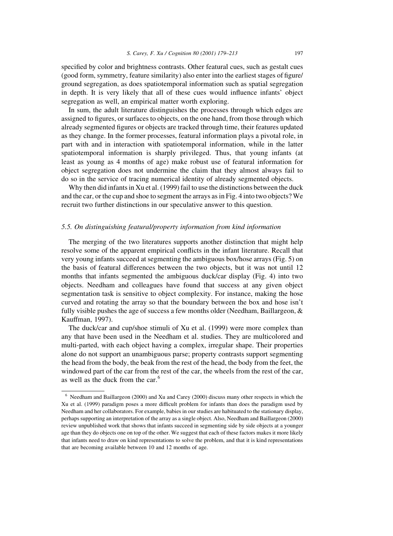specified by color and brightness contrasts. Other featural cues, such as gestalt cues (good form, symmetry, feature similarity) also enter into the earliest stages of figure/ ground segregation, as does spatiotemporal information such as spatial segregation in depth. It is very likely that all of these cues would influence infants' object segregation as well, an empirical matter worth exploring.

In sum, the adult literature distinguishes the processes through which edges are assigned to figures, or surfaces to objects, on the one hand, from those through which already segmented figures or objects are tracked through time, their features updated as they change. In the former processes, featural information plays a pivotal role, in part with and in interaction with spatiotemporal information, while in the latter spatiotemporal information is sharply privileged. Thus, that young infants (at least as young as 4 months of age) make robust use of featural information for object segregation does not undermine the claim that they almost always fail to do so in the service of tracing numerical identity of already segmented objects.

Why then did infants in Xu et al. (1999) fail to use the distinctions between the duck and the car, or the cup and shoe to segment the arrays as in Fig. 4 into two objects? We recruit two further distinctions in our speculative answer to this question.

# 5.5. On distinguishing featural/property information from kind information

The merging of the two literatures supports another distinction that might help resolve some of the apparent empirical conflicts in the infant literature. Recall that very young infants succeed at segmenting the ambiguous box/hose arrays (Fig. 5) on the basis of featural differences between the two objects, but it was not until 12 months that infants segmented the ambiguous duck/car display (Fig. 4) into two objects. Needham and colleagues have found that success at any given object segmentation task is sensitive to object complexity. For instance, making the hose curved and rotating the array so that the boundary between the box and hose isn't fully visible pushes the age of success a few months older (Needham, Baillargeon,  $\&$ Kauffman, 1997).

The duck/car and cup/shoe stimuli of Xu et al. (1999) were more complex than any that have been used in the Needham et al. studies. They are multicolored and multi-parted, with each object having a complex, irregular shape. Their properties alone do not support an unambiguous parse; property contrasts support segmenting the head from the body, the beak from the rest of the head, the body from the feet, the windowed part of the car from the rest of the car, the wheels from the rest of the car, as well as the duck from the car.<sup>6</sup>

<sup>6</sup> Needham and Baillargeon (2000) and Xu and Carey (2000) discuss many other respects in which the Xu et al. (1999) paradigm poses a more difficult problem for infants than does the paradigm used by Needham and her collaborators. For example, babies in our studies are habituated to the stationary display, perhaps supporting an interpretation of the array as a single object. Also, Needham and Baillargeon (2000) review unpublished work that shows that infants succeed in segmenting side by side objects at a younger age than they do objects one on top of the other. We suggest that each of these factors makes it more likely that infants need to draw on kind representations to solve the problem, and that it is kind representations that are becoming available between 10 and 12 months of age.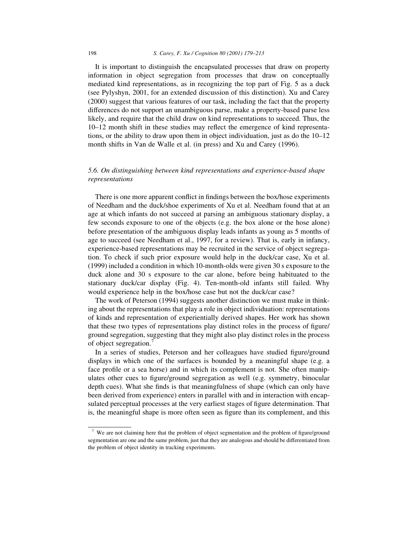It is important to distinguish the encapsulated processes that draw on property information in object segregation from processes that draw on conceptually mediated kind representations, as in recognizing the top part of Fig. 5 as a duck (see Pylyshyn, 2001, for an extended discussion of this distinction). Xu and Carey (2000) suggest that various features of our task, including the fact that the property differences do not support an unambiguous parse, make a property-based parse less likely, and require that the child draw on kind representations to succeed. Thus, the 10-12 month shift in these studies may reflect the emergence of kind representations, or the ability to draw upon them in object individuation, just as do the  $10-12$ month shifts in Van de Walle et al. (in press) and Xu and Carey (1996).

# 5.6. On distinguishing between kind representations and experience-based shape representations

There is one more apparent conflict in findings between the box/hose experiments of Needham and the duck/shoe experiments of Xu et al. Needham found that at an age at which infants do not succeed at parsing an ambiguous stationary display, a few seconds exposure to one of the objects (e.g. the box alone or the hose alone) before presentation of the ambiguous display leads infants as young as 5 months of age to succeed (see Needham et al., 1997, for a review). That is, early in infancy, experience-based representations may be recruited in the service of object segregation. To check if such prior exposure would help in the duck/car case, Xu et al. (1999) included a condition in which 10-month-olds were given 30 s exposure to the duck alone and 30 s exposure to the car alone, before being habituated to the stationary duck/car display (Fig. 4). Ten-month-old infants still failed. Why would experience help in the box/hose case but not the duck/car case?

The work of Peterson (1994) suggests another distinction we must make in thinking about the representations that play a role in object individuation: representations of kinds and representation of experientially derived shapes. Her work has shown that these two types of representations play distinct roles in the process of figure/ ground segregation, suggesting that they might also play distinct roles in the process of object segregation.

In a series of studies, Peterson and her colleagues have studied figure/ground displays in which one of the surfaces is bounded by a meaningful shape (e.g. a face profile or a sea horse) and in which its complement is not. She often manipulates other cues to figure/ground segregation as well (e.g. symmetry, binocular depth cues). What she finds is that meaningfulness of shape (which can only have been derived from experience) enters in parallel with and in interaction with encapsulated perceptual processes at the very earliest stages of figure determination. That is, the meaningful shape is more often seen as figure than its complement, and this

We are not claiming here that the problem of object segmentation and the problem of figure/ground segmentation are one and the same problem, just that they are analogous and should be differentiated from the problem of object identity in tracking experiments.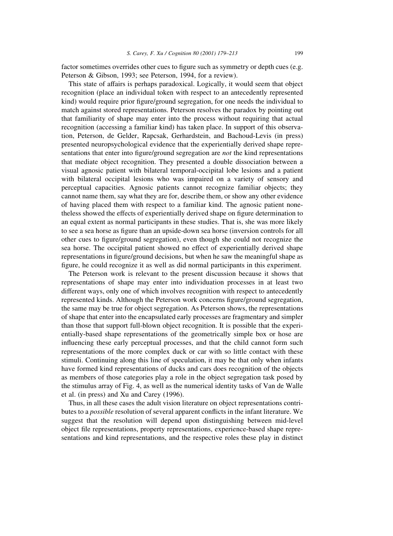factor sometimes overrides other cues to figure such as symmetry or depth cues (e.g. Peterson & Gibson, 1993; see Peterson, 1994, for a review).

This state of affairs is perhaps paradoxical. Logically, it would seem that object recognition (place an individual token with respect to an antecedently represented kind) would require prior figure/ground segregation, for one needs the individual to match against stored representations. Peterson resolves the paradox by pointing out that familiarity of shape may enter into the process without requiring that actual recognition (accessing a familiar kind) has taken place. In support of this observation, Peterson, de Gelder, Rapcsak, Gerhardstein, and Bachoud-Levis (in press) presented neuropsychological evidence that the experientially derived shape representations that enter into figure/ground segregation are *not* the kind representations that mediate object recognition. They presented a double dissociation between a visual agnosic patient with bilateral temporal-occipital lobe lesions and a patient with bilateral occipital lesions who was impaired on a variety of sensory and perceptual capacities. Agnosic patients cannot recognize familiar objects; they cannot name them, say what they are for, describe them, or show any other evidence of having placed them with respect to a familiar kind. The agnosic patient nonetheless showed the effects of experientially derived shape on figure determination to an equal extent as normal participants in these studies. That is, she was more likely to see a sea horse as figure than an upside-down sea horse (inversion controls for all other cues to figure/ground segregation), even though she could not recognize the sea horse. The occipital patient showed no effect of experientially derived shape representations in figure/ground decisions, but when he saw the meaningful shape as figure, he could recognize it as well as did normal participants in this experiment.

The Peterson work is relevant to the present discussion because it shows that representations of shape may enter into individuation processes in at least two different ways, only one of which involves recognition with respect to antecedently represented kinds. Although the Peterson work concerns figure/ground segregation, the same may be true for object segregation. As Peterson shows, the representations of shape that enter into the encapsulated early processes are fragmentary and simpler than those that support full-blown object recognition. It is possible that the experientially-based shape representations of the geometrically simple box or hose are influencing these early perceptual processes, and that the child cannot form such representations of the more complex duck or car with so little contact with these stimuli. Continuing along this line of speculation, it may be that only when infants have formed kind representations of ducks and cars does recognition of the objects as members of those categories play a role in the object segregation task posed by the stimulus array of Fig. 4, as well as the numerical identity tasks of Van de Walle et al. (in press) and Xu and Carey (1996).

Thus, in all these cases the adult vision literature on object representations contributes to a *possible* resolution of several apparent conflicts in the infant literature. We suggest that the resolution will depend upon distinguishing between mid-level object file representations, property representations, experience-based shape representations and kind representations, and the respective roles these play in distinct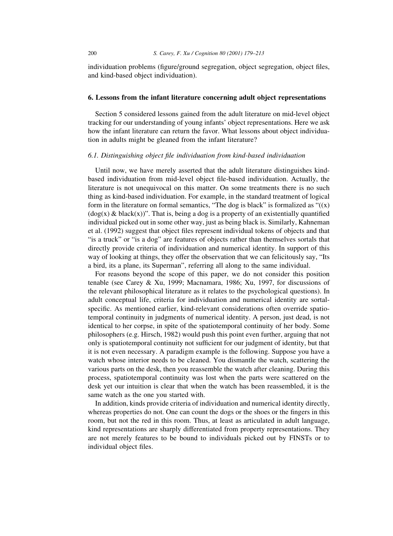individuation problems (figure/ground segregation, object segregation, object files, and kind-based object individuation).

# 6. Lessons from the infant literature concerning adult object representations

Section 5 considered lessons gained from the adult literature on mid-level object tracking for our understanding of young infants' object representations. Here we ask how the infant literature can return the favor. What lessons about object individuation in adults might be gleaned from the infant literature?

# 6.1. Distinguishing object file individuation from kind-based individuation

Until now, we have merely asserted that the adult literature distinguishes kindbased individuation from mid-level object file-based individuation. Actually, the literature is not unequivocal on this matter. On some treatments there is no such thing as kind-based individuation. For example, in the standard treatment of logical form in the literature on formal semantics, "The dog is black" is formalized as " $((x))$  $(dog(x) \& black(x))$ ". That is, being a dog is a property of an existentially quantified individual picked out in some other way, just as being black is. Similarly, Kahneman et al. (1992) suggest that object files represent individual tokens of objects and that "is a truck" or "is a dog" are features of objects rather than themselves sortals that directly provide criteria of individuation and numerical identity. In support of this way of looking at things, they offer the observation that we can felicitously say, "Its a bird, its a plane, its Supermanº, referring all along to the same individual.

For reasons beyond the scope of this paper, we do not consider this position tenable (see Carey & Xu, 1999; Macnamara, 1986; Xu, 1997, for discussions of the relevant philosophical literature as it relates to the psychological questions). In adult conceptual life, criteria for individuation and numerical identity are sortalspecific. As mentioned earlier, kind-relevant considerations often override spatiotemporal continuity in judgments of numerical identity. A person, just dead, is not identical to her corpse, in spite of the spatiotemporal continuity of her body. Some philosophers (e.g. Hirsch, 1982) would push this point even further, arguing that not only is spatiotemporal continuity not sufficient for our judgment of identity, but that it is not even necessary. A paradigm example is the following. Suppose you have a watch whose interior needs to be cleaned. You dismantle the watch, scattering the various parts on the desk, then you reassemble the watch after cleaning. During this process, spatiotemporal continuity was lost when the parts were scattered on the desk yet our intuition is clear that when the watch has been reassembled, it is the same watch as the one you started with.

In addition, kinds provide criteria of individuation and numerical identity directly, whereas properties do not. One can count the dogs or the shoes or the fingers in this room, but not the red in this room. Thus, at least as articulated in adult language, kind representations are sharply differentiated from property representations. They are not merely features to be bound to individuals picked out by FINSTs or to individual object files.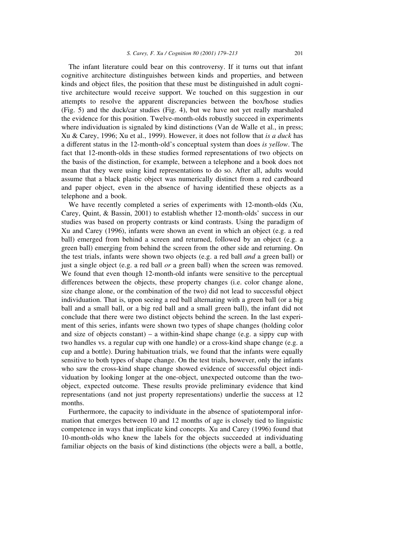The infant literature could bear on this controversy. If it turns out that infant cognitive architecture distinguishes between kinds and properties, and between kinds and object files, the position that these must be distinguished in adult cognitive architecture would receive support. We touched on this suggestion in our attempts to resolve the apparent discrepancies between the box/hose studies (Fig. 5) and the duck/car studies (Fig. 4), but we have not yet really marshaled the evidence for this position. Twelve-month-olds robustly succeed in experiments where individuation is signaled by kind distinctions (Van de Walle et al., in press; Xu & Carey, 1996; Xu et al., 1999). However, it does not follow that is a duck has a different status in the 12-month-old's conceptual system than does is yellow. The fact that 12-month-olds in these studies formed representations of two objects on the basis of the distinction, for example, between a telephone and a book does not mean that they were using kind representations to do so. After all, adults would assume that a black plastic object was numerically distinct from a red cardboard and paper object, even in the absence of having identified these objects as a telephone and a book.

We have recently completed a series of experiments with 12-month-olds (Xu, Carey, Quint, & Bassin, 2001) to establish whether 12-month-olds' success in our studies was based on property contrasts or kind contrasts. Using the paradigm of Xu and Carey (1996), infants were shown an event in which an object (e.g. a red ball) emerged from behind a screen and returned, followed by an object (e.g. a green ball) emerging from behind the screen from the other side and returning. On the test trials, infants were shown two objects (e.g. a red ball and a green ball) or just a single object (e.g. a red ball  $or$  a green ball) when the screen was removed. We found that even though 12-month-old infants were sensitive to the perceptual differences between the objects, these property changes (i.e. color change alone, size change alone, or the combination of the two) did not lead to successful object individuation. That is, upon seeing a red ball alternating with a green ball (or a big ball and a small ball, or a big red ball and a small green ball), the infant did not conclude that there were two distinct objects behind the screen. In the last experiment of this series, infants were shown two types of shape changes (holding color and size of objects constant)  $-$  a within-kind shape change (e.g. a sippy cup with two handles vs. a regular cup with one handle) or a cross-kind shape change (e.g. a cup and a bottle). During habituation trials, we found that the infants were equally sensitive to both types of shape change. On the test trials, however, only the infants who saw the cross-kind shape change showed evidence of successful object individuation by looking longer at the one-object, unexpected outcome than the twoobject, expected outcome. These results provide preliminary evidence that kind representations (and not just property representations) underlie the success at 12 months.

Furthermore, the capacity to individuate in the absence of spatiotemporal information that emerges between 10 and 12 months of age is closely tied to linguistic competence in ways that implicate kind concepts. Xu and Carey (1996) found that 10-month-olds who knew the labels for the objects succeeded at individuating familiar objects on the basis of kind distinctions (the objects were a ball, a bottle,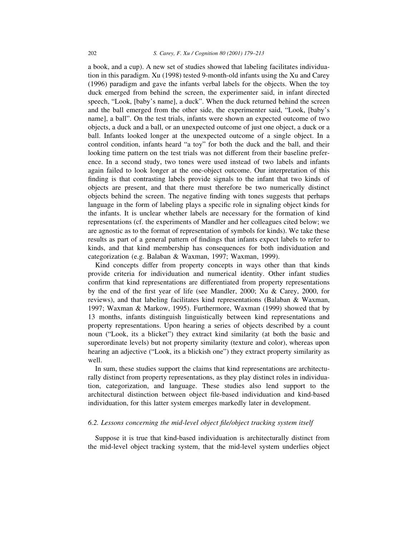a book, and a cup). A new set of studies showed that labeling facilitates individuation in this paradigm. Xu (1998) tested 9-month-old infants using the Xu and Carey (1996) paradigm and gave the infants verbal labels for the objects. When the toy duck emerged from behind the screen, the experimenter said, in infant directed speech, "Look, [baby's name], a duck". When the duck returned behind the screen and the ball emerged from the other side, the experimenter said, ªLook, [baby's name], a ball". On the test trials, infants were shown an expected outcome of two objects, a duck and a ball, or an unexpected outcome of just one object, a duck or a ball. Infants looked longer at the unexpected outcome of a single object. In a control condition, infants heard "a toy" for both the duck and the ball, and their looking time pattern on the test trials was not different from their baseline preference. In a second study, two tones were used instead of two labels and infants again failed to look longer at the one-object outcome. Our interpretation of this finding is that contrasting labels provide signals to the infant that two kinds of objects are present, and that there must therefore be two numerically distinct objects behind the screen. The negative finding with tones suggests that perhaps language in the form of labeling plays a specific role in signaling object kinds for the infants. It is unclear whether labels are necessary for the formation of kind representations (cf. the experiments of Mandler and her colleagues cited below; we are agnostic as to the format of representation of symbols for kinds). We take these results as part of a general pattern of findings that infants expect labels to refer to kinds, and that kind membership has consequences for both individuation and categorization (e.g. Balaban & Waxman, 1997; Waxman, 1999).

Kind concepts differ from property concepts in ways other than that kinds provide criteria for individuation and numerical identity. Other infant studies confirm that kind representations are differentiated from property representations by the end of the first year of life (see Mandler, 2000; Xu & Carey, 2000, for reviews), and that labeling facilitates kind representations (Balaban & Waxman, 1997; Waxman & Markow, 1995). Furthermore, Waxman (1999) showed that by 13 months, infants distinguish linguistically between kind representations and property representations. Upon hearing a series of objects described by a count noun ("Look, its a blicket") they extract kind similarity (at both the basic and superordinate levels) but not property similarity (texture and color), whereas upon hearing an adjective ("Look, its a blickish one") they extract property similarity as well.

In sum, these studies support the claims that kind representations are architecturally distinct from property representations, as they play distinct roles in individuation, categorization, and language. These studies also lend support to the architectural distinction between object ®le-based individuation and kind-based individuation, for this latter system emerges markedly later in development.

# $6.2.$  Lessons concerning the mid-level object file/object tracking system itself

Suppose it is true that kind-based individuation is architecturally distinct from the mid-level object tracking system, that the mid-level system underlies object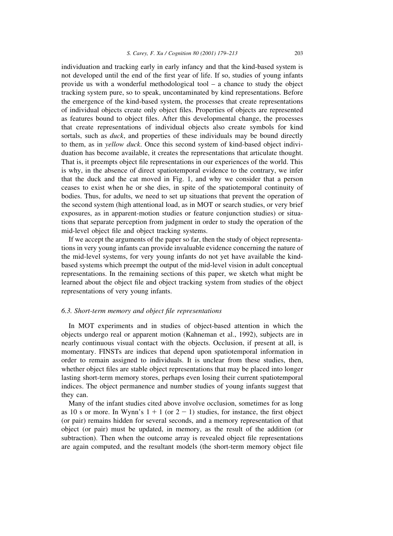individuation and tracking early in early infancy and that the kind-based system is not developed until the end of the first year of life. If so, studies of young infants provide us with a wonderful methodological tool  $-\alpha$  chance to study the object tracking system pure, so to speak, uncontaminated by kind representations. Before the emergence of the kind-based system, the processes that create representations of individual objects create only object files. Properties of objects are represented as features bound to object files. After this developmental change, the processes that create representations of individual objects also create symbols for kind sortals, such as *duck*, and properties of these individuals may be bound directly to them, as in yellow duck. Once this second system of kind-based object individuation has become available, it creates the representations that articulate thought. That is, it preempts object file representations in our experiences of the world. This is why, in the absence of direct spatiotemporal evidence to the contrary, we infer that the duck and the cat moved in Fig. 1, and why we consider that a person ceases to exist when he or she dies, in spite of the spatiotemporal continuity of bodies. Thus, for adults, we need to set up situations that prevent the operation of the second system (high attentional load, as in MOT or search studies, or very brief exposures, as in apparent-motion studies or feature conjunction studies) or situations that separate perception from judgment in order to study the operation of the mid-level object file and object tracking systems.

If we accept the arguments of the paper so far, then the study of object representations in very young infants can provide invaluable evidence concerning the nature of the mid-level systems, for very young infants do not yet have available the kindbased systems which preempt the output of the mid-level vision in adult conceptual representations. In the remaining sections of this paper, we sketch what might be learned about the object file and object tracking system from studies of the object representations of very young infants.

### 6.3. Short-term memory and object file representations

In MOT experiments and in studies of object-based attention in which the objects undergo real or apparent motion (Kahneman et al., 1992), subjects are in nearly continuous visual contact with the objects. Occlusion, if present at all, is momentary. FINSTs are indices that depend upon spatiotemporal information in order to remain assigned to individuals. It is unclear from these studies, then, whether object files are stable object representations that may be placed into longer lasting short-term memory stores, perhaps even losing their current spatiotemporal indices. The object permanence and number studies of young infants suggest that they can.

Many of the infant studies cited above involve occlusion, sometimes for as long as 10 s or more. In Wynn's  $1 + 1$  (or  $2 - 1$ ) studies, for instance, the first object (or pair) remains hidden for several seconds, and a memory representation of that object (or pair) must be updated, in memory, as the result of the addition (or subtraction). Then when the outcome array is revealed object file representations are again computed, and the resultant models (the short-term memory object file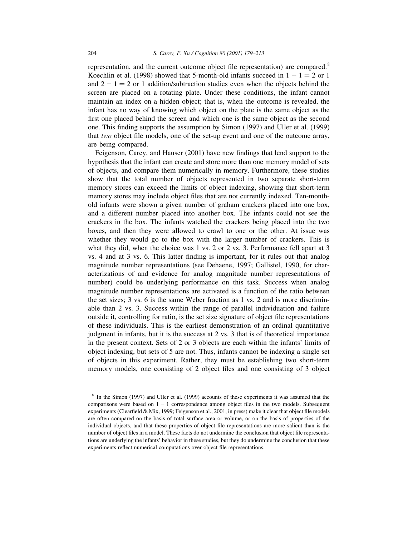representation, and the current outcome object file representation) are compared. $8$ Koechlin et al. (1998) showed that 5-month-old infants succeed in  $1 + 1 = 2$  or 1 and  $2 - 1 = 2$  or 1 addition/subtraction studies even when the objects behind the screen are placed on a rotating plate. Under these conditions, the infant cannot maintain an index on a hidden object; that is, when the outcome is revealed, the infant has no way of knowing which object on the plate is the same object as the first one placed behind the screen and which one is the same object as the second one. This finding supports the assumption by Simon (1997) and Uller et al. (1999) that two object file models, one of the set-up event and one of the outcome array, are being compared.

Feigenson, Carey, and Hauser (2001) have new findings that lend support to the hypothesis that the infant can create and store more than one memory model of sets of objects, and compare them numerically in memory. Furthermore, these studies show that the total number of objects represented in two separate short-term memory stores can exceed the limits of object indexing, showing that short-term memory stores may include object files that are not currently indexed. Ten-monthold infants were shown a given number of graham crackers placed into one box, and a different number placed into another box. The infants could not see the crackers in the box. The infants watched the crackers being placed into the two boxes, and then they were allowed to crawl to one or the other. At issue was whether they would go to the box with the larger number of crackers. This is what they did, when the choice was 1 vs. 2 or 2 vs. 3. Performance fell apart at 3 vs. 4 and at 3 vs. 6. This latter finding is important, for it rules out that analog magnitude number representations (see Dehaene, 1997; Gallistel, 1990, for characterizations of and evidence for analog magnitude number representations of number) could be underlying performance on this task. Success when analog magnitude number representations are activated is a function of the ratio between the set sizes; 3 vs. 6 is the same Weber fraction as 1 vs. 2 and is more discriminable than 2 vs. 3. Success within the range of parallel individuation and failure outside it, controlling for ratio, is the set size signature of object file representations of these individuals. This is the earliest demonstration of an ordinal quantitative judgment in infants, but it is the success at 2 vs. 3 that is of theoretical importance in the present context. Sets of 2 or 3 objects are each within the infants' limits of object indexing, but sets of 5 are not. Thus, infants cannot be indexing a single set of objects in this experiment. Rather, they must be establishing two short-term memory models, one consisting of 2 object files and one consisting of 3 object

In the Simon (1997) and Uller et al. (1999) accounts of these experiments it was assumed that the comparisons were based on  $1 - 1$  correspondence among object files in the two models. Subsequent experiments (Clearfield & Mix, 1999; Feigenson et al., 2001, in press) make it clear that object file models are often compared on the basis of total surface area or volume, or on the basis of properties of the individual objects, and that these properties of object file representations are more salient than is the number of object files in a model. These facts do not undermine the conclusion that object file representations are underlying the infants' behavior in these studies, but they do undermine the conclusion that these experiments reflect numerical computations over object file representations.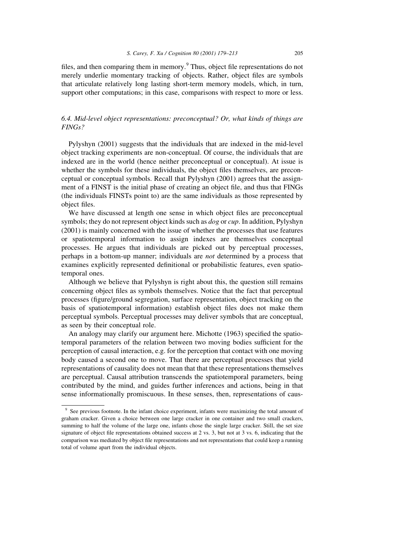files, and then comparing them in memory. $9$  Thus, object file representations do not merely underlie momentary tracking of objects. Rather, object files are symbols that articulate relatively long lasting short-term memory models, which, in turn, support other computations; in this case, comparisons with respect to more or less.

# 6.4. Mid-level object representations: preconceptual? Or, what kinds of things are FINGs?

Pylyshyn (2001) suggests that the individuals that are indexed in the mid-level object tracking experiments are non-conceptual. Of course, the individuals that are indexed are in the world (hence neither preconceptual or conceptual). At issue is whether the symbols for these individuals, the object files themselves, are preconceptual or conceptual symbols. Recall that Pylyshyn (2001) agrees that the assignment of a FINST is the initial phase of creating an object file, and thus that FINGs (the individuals FINSTs point to) are the same individuals as those represented by object files.

We have discussed at length one sense in which object files are preconceptual symbols; they do not represent object kinds such as dog or cup. In addition, Pylyshyn (2001) is mainly concerned with the issue of whether the processes that use features or spatiotemporal information to assign indexes are themselves conceptual processes. He argues that individuals are picked out by perceptual processes, perhaps in a bottom-up manner; individuals are not determined by a process that examines explicitly represented definitional or probabilistic features, even spatiotemporal ones.

Although we believe that Pylyshyn is right about this, the question still remains concerning object files as symbols themselves. Notice that the fact that perceptual processes (figure/ground segregation, surface representation, object tracking on the basis of spatiotemporal information) establish object files does not make them perceptual symbols. Perceptual processes may deliver symbols that are conceptual, as seen by their conceptual role.

An analogy may clarify our argument here. Michotte (1963) specified the spatiotemporal parameters of the relation between two moving bodies sufficient for the perception of causal interaction, e.g. for the perception that contact with one moving body caused a second one to move. That there are perceptual processes that yield representations of causality does not mean that that these representations themselves are perceptual. Causal attribution transcends the spatiotemporal parameters, being contributed by the mind, and guides further inferences and actions, being in that sense informationally promiscuous. In these senses, then, representations of caus-

<sup>&</sup>lt;sup>9</sup> See previous footnote. In the infant choice experiment, infants were maximizing the total amount of graham cracker. Given a choice between one large cracker in one container and two small crackers, summing to half the volume of the large one, infants chose the single large cracker. Still, the set size signature of object file representations obtained success at  $2 \text{ vs. } 3$ , but not at  $3 \text{ vs. } 6$ , indicating that the comparison was mediated by object file representations and not representations that could keep a running total of volume apart from the individual objects.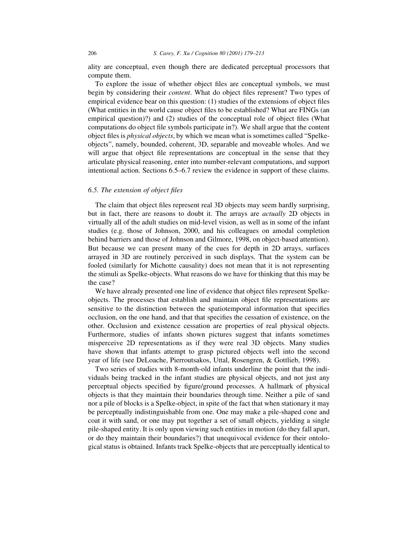ality are conceptual, even though there are dedicated perceptual processors that compute them.

To explore the issue of whether object files are conceptual symbols, we must begin by considering their *content*. What do object files represent? Two types of empirical evidence bear on this question:  $(1)$  studies of the extensions of object files (What entities in the world cause object files to be established? What are FINGs (an empirical question)?) and  $(2)$  studies of the conceptual role of object files (What computations do object file symbols participate in?). We shall argue that the content object files is *physical objects*, by which we mean what is sometimes called "Spelkeobjectsº, namely, bounded, coherent, 3D, separable and moveable wholes. And we will argue that object file representations are conceptual in the sense that they articulate physical reasoning, enter into number-relevant computations, and support intentional action. Sections 6.5–6.7 review the evidence in support of these claims.

### $6.5.$  The extension of object files

The claim that object files represent real 3D objects may seem hardly surprising, but in fact, there are reasons to doubt it. The arrays are actually 2D objects in virtually all of the adult studies on mid-level vision, as well as in some of the infant studies (e.g. those of Johnson, 2000, and his colleagues on amodal completion behind barriers and those of Johnson and Gilmore, 1998, on object-based attention). But because we can present many of the cues for depth in 2D arrays, surfaces arrayed in 3D are routinely perceived in such displays. That the system can be fooled (similarly for Michotte causality) does not mean that it is not representing the stimuli as Spelke-objects. What reasons do we have for thinking that this may be the case?

We have already presented one line of evidence that object files represent Spelkeobjects. The processes that establish and maintain object file representations are sensitive to the distinction between the spatiotemporal information that specifies occlusion, on the one hand, and that that specifies the cessation of existence, on the other. Occlusion and existence cessation are properties of real physical objects. Furthermore, studies of infants shown pictures suggest that infants sometimes misperceive 2D representations as if they were real 3D objects. Many studies have shown that infants attempt to grasp pictured objects well into the second year of life (see DeLoache, Pierroutsakos, Uttal, Rosengren, & Gottlieb, 1998).

Two series of studies with 8-month-old infants underline the point that the individuals being tracked in the infant studies are physical objects, and not just any perceptual objects specified by figure/ground processes. A hallmark of physical objects is that they maintain their boundaries through time. Neither a pile of sand nor a pile of blocks is a Spelke-object, in spite of the fact that when stationary it may be perceptually indistinguishable from one. One may make a pile-shaped cone and coat it with sand, or one may put together a set of small objects, yielding a single pile-shaped entity. It is only upon viewing such entities in motion (do they fall apart, or do they maintain their boundaries?) that unequivocal evidence for their ontological status is obtained. Infants track Spelke-objects that are perceptually identical to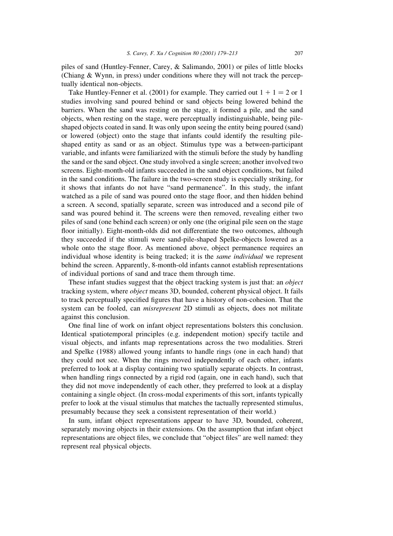piles of sand (Huntley-Fenner, Carey, & Salimando, 2001) or piles of little blocks (Chiang & Wynn, in press) under conditions where they will not track the perceptually identical non-objects.

Take Huntley-Fenner et al. (2001) for example. They carried out  $1 + 1 = 2$  or 1 studies involving sand poured behind or sand objects being lowered behind the barriers. When the sand was resting on the stage, it formed a pile, and the sand objects, when resting on the stage, were perceptually indistinguishable, being pileshaped objects coated in sand. It was only upon seeing the entity being poured (sand) or lowered (object) onto the stage that infants could identify the resulting pileshaped entity as sand or as an object. Stimulus type was a between-participant variable, and infants were familiarized with the stimuli before the study by handling the sand or the sand object. One study involved a single screen; another involved two screens. Eight-month-old infants succeeded in the sand object conditions, but failed in the sand conditions. The failure in the two-screen study is especially striking, for it shows that infants do not have ªsand permanenceº. In this study, the infant watched as a pile of sand was poured onto the stage floor, and then hidden behind a screen. A second, spatially separate, screen was introduced and a second pile of sand was poured behind it. The screens were then removed, revealing either two piles of sand (one behind each screen) or only one (the original pile seen on the stage floor initially). Eight-month-olds did not differentiate the two outcomes, although they succeeded if the stimuli were sand-pile-shaped Spelke-objects lowered as a whole onto the stage floor. As mentioned above, object permanence requires an individual whose identity is being tracked; it is the same individual we represent behind the screen. Apparently, 8-month-old infants cannot establish representations of individual portions of sand and trace them through time.

These infant studies suggest that the object tracking system is just that: an object tracking system, where object means 3D, bounded, coherent physical object. It fails to track perceptually specified figures that have a history of non-cohesion. That the system can be fooled, can misrepresent 2D stimuli as objects, does not militate against this conclusion.

One final line of work on infant object representations bolsters this conclusion. Identical spatiotemporal principles (e.g. independent motion) specify tactile and visual objects, and infants map representations across the two modalities. Streri and Spelke (1988) allowed young infants to handle rings (one in each hand) that they could not see. When the rings moved independently of each other, infants preferred to look at a display containing two spatially separate objects. In contrast, when handling rings connected by a rigid rod (again, one in each hand), such that they did not move independently of each other, they preferred to look at a display containing a single object. (In cross-modal experiments of this sort, infants typically prefer to look at the visual stimulus that matches the tactually represented stimulus, presumably because they seek a consistent representation of their world.)

In sum, infant object representations appear to have 3D, bounded, coherent, separately moving objects in their extensions. On the assumption that infant object representations are object files, we conclude that "object files" are well named: they represent real physical objects.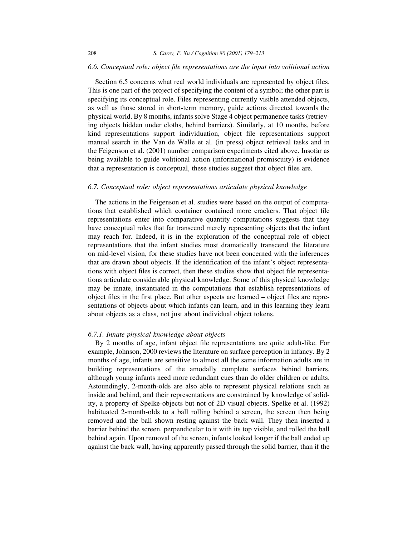### $6.6.$  Conceptual role: object file representations are the input into volitional action

Section 6.5 concerns what real world individuals are represented by object files. This is one part of the project of specifying the content of a symbol; the other part is specifying its conceptual role. Files representing currently visible attended objects, as well as those stored in short-term memory, guide actions directed towards the physical world. By 8 months, infants solve Stage 4 object permanence tasks (retrieving objects hidden under cloths, behind barriers). Similarly, at 10 months, before kind representations support individuation, object file representations support manual search in the Van de Walle et al. (in press) object retrieval tasks and in the Feigenson et al. (2001) number comparison experiments cited above. Insofar as being available to guide volitional action (informational promiscuity) is evidence that a representation is conceptual, these studies suggest that object files are.

### 6.7. Conceptual role: object representations articulate physical knowledge

The actions in the Feigenson et al. studies were based on the output of computations that established which container contained more crackers. That object file representations enter into comparative quantity computations suggests that they have conceptual roles that far transcend merely representing objects that the infant may reach for. Indeed, it is in the exploration of the conceptual role of object representations that the infant studies most dramatically transcend the literature on mid-level vision, for these studies have not been concerned with the inferences that are drawn about objects. If the identification of the infant's object representations with object files is correct, then these studies show that object file representations articulate considerable physical knowledge. Some of this physical knowledge may be innate, instantiated in the computations that establish representations of object files in the first place. But other aspects are learned  $-\text{ object}$  files are representations of objects about which infants can learn, and in this learning they learn about objects as a class, not just about individual object tokens.

### 6.7.1. Innate physical knowledge about objects

By 2 months of age, infant object file representations are quite adult-like. For example, Johnson, 2000 reviews the literature on surface perception in infancy. By 2 months of age, infants are sensitive to almost all the same information adults are in building representations of the amodally complete surfaces behind barriers, although young infants need more redundant cues than do older children or adults. Astoundingly, 2-month-olds are also able to represent physical relations such as inside and behind, and their representations are constrained by knowledge of solidity, a property of Spelke-objects but not of 2D visual objects. Spelke et al. (1992) habituated 2-month-olds to a ball rolling behind a screen, the screen then being removed and the ball shown resting against the back wall. They then inserted a barrier behind the screen, perpendicular to it with its top visible, and rolled the ball behind again. Upon removal of the screen, infants looked longer if the ball ended up against the back wall, having apparently passed through the solid barrier, than if the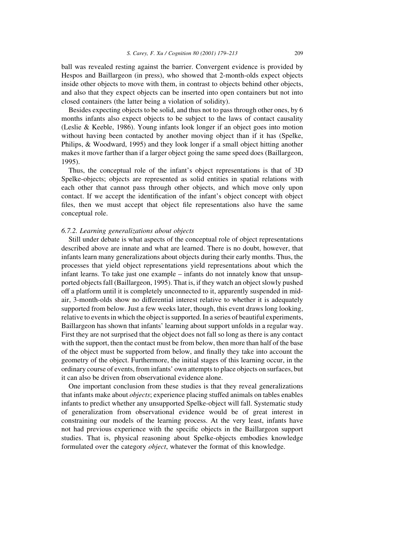ball was revealed resting against the barrier. Convergent evidence is provided by Hespos and Baillargeon (in press), who showed that 2-month-olds expect objects inside other objects to move with them, in contrast to objects behind other objects, and also that they expect objects can be inserted into open containers but not into closed containers (the latter being a violation of solidity).

Besides expecting objects to be solid, and thus not to pass through other ones, by 6 months infants also expect objects to be subject to the laws of contact causality (Leslie & Keeble, 1986). Young infants look longer if an object goes into motion without having been contacted by another moving object than if it has (Spelke, Philips, & Woodward, 1995) and they look longer if a small object hitting another makes it move farther than if a larger object going the same speed does (Baillargeon, 1995).

Thus, the conceptual role of the infant's object representations is that of 3D Spelke-objects; objects are represented as solid entities in spatial relations with each other that cannot pass through other objects, and which move only upon contact. If we accept the identification of the infant's object concept with object files, then we must accept that object file representations also have the same conceptual role.

#### 6.7.2. Learning generalizations about objects

Still under debate is what aspects of the conceptual role of object representations described above are innate and what are learned. There is no doubt, however, that infants learn many generalizations about objects during their early months. Thus, the processes that yield object representations yield representations about which the infant learns. To take just one example  $-\text{infants}$  do not innately know that unsupported objects fall (Baillargeon, 1995). That is, if they watch an object slowly pushed off a platform until it is completely unconnected to it, apparently suspended in midair, 3-month-olds show no differential interest relative to whether it is adequately supported from below. Just a few weeks later, though, this event draws long looking, relative to events in which the object is supported. In a series of beautiful experiments, Baillargeon has shown that infants' learning about support unfolds in a regular way. First they are not surprised that the object does not fall so long as there is any contact with the support, then the contact must be from below, then more than half of the base of the object must be supported from below, and finally they take into account the geometry of the object. Furthermore, the initial stages of this learning occur, in the ordinary course of events, from infants' own attempts to place objects on surfaces, but it can also be driven from observational evidence alone.

One important conclusion from these studies is that they reveal generalizations that infants make about *objects*; experience placing stuffed animals on tables enables infants to predict whether any unsupported Spelke-object will fall. Systematic study of generalization from observational evidence would be of great interest in constraining our models of the learning process. At the very least, infants have not had previous experience with the specific objects in the Baillargeon support studies. That is, physical reasoning about Spelke-objects embodies knowledge formulated over the category *object*, whatever the format of this knowledge.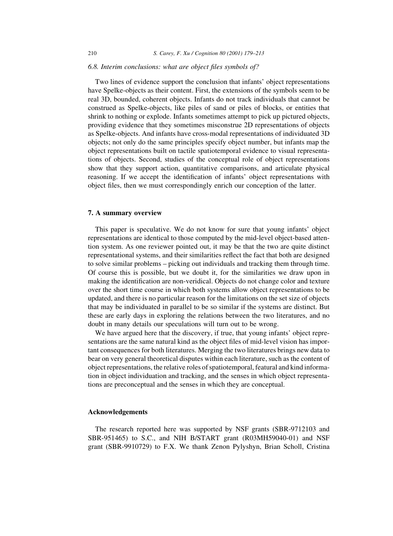### $6.8.$  Interim conclusions: what are object files symbols of?

Two lines of evidence support the conclusion that infants' object representations have Spelke-objects as their content. First, the extensions of the symbols seem to be real 3D, bounded, coherent objects. Infants do not track individuals that cannot be construed as Spelke-objects, like piles of sand or piles of blocks, or entities that shrink to nothing or explode. Infants sometimes attempt to pick up pictured objects, providing evidence that they sometimes misconstrue 2D representations of objects as Spelke-objects. And infants have cross-modal representations of individuated 3D objects; not only do the same principles specify object number, but infants map the object representations built on tactile spatiotemporal evidence to visual representations of objects. Second, studies of the conceptual role of object representations show that they support action, quantitative comparisons, and articulate physical reasoning. If we accept the identification of infants' object representations with object files, then we must correspondingly enrich our conception of the latter.

### 7. A summary overview

This paper is speculative. We do not know for sure that young infants' object representations are identical to those computed by the mid-level object-based attention system. As one reviewer pointed out, it may be that the two are quite distinct representational systems, and their similarities reflect the fact that both are designed to solve similar problems – picking out individuals and tracking them through time. Of course this is possible, but we doubt it, for the similarities we draw upon in making the identification are non-veridical. Objects do not change color and texture over the short time course in which both systems allow object representations to be updated, and there is no particular reason for the limitations on the set size of objects that may be individuated in parallel to be so similar if the systems are distinct. But these are early days in exploring the relations between the two literatures, and no doubt in many details our speculations will turn out to be wrong.

We have argued here that the discovery, if true, that young infants' object representations are the same natural kind as the object files of mid-level vision has important consequences for both literatures. Merging the two literatures brings new data to bear on very general theoretical disputes within each literature, such as the content of object representations, the relative roles of spatiotemporal, featural and kind information in object individuation and tracking, and the senses in which object representations are preconceptual and the senses in which they are conceptual.

#### Acknowledgements

The research reported here was supported by NSF grants (SBR-9712103 and SBR-951465) to S.C., and NIH B/START grant (R03MH59040-01) and NSF grant (SBR-9910729) to F.X. We thank Zenon Pylyshyn, Brian Scholl, Cristina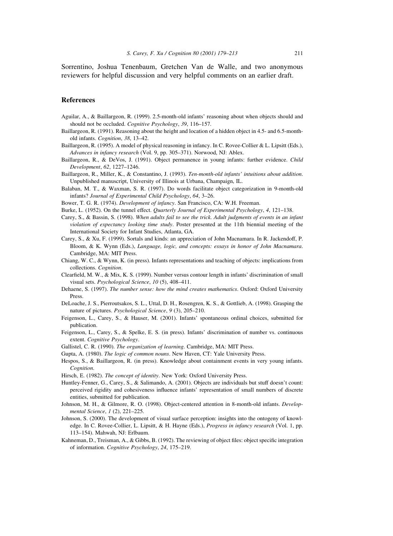Sorrentino, Joshua Tenenbaum, Gretchen Van de Walle, and two anonymous reviewers for helpful discussion and very helpful comments on an earlier draft.

### References

- Aguilar, A., & Baillargeon, R. (1999). 2.5-month-old infants' reasoning about when objects should and should not be occluded. Cognitive Psychology, 39, 116-157.
- Baillargeon, R. (1991). Reasoning about the height and location of a hidden object in 4.5- and 6.5-monthold infants. Cognition, 38, 13-42.
- Baillargeon, R. (1995). A model of physical reasoning in infancy. In C. Rovee-Collier & L. Lipsitt (Eds.), Advances in infancy research (Vol. 9, pp. 305-371). Norwood, NJ: Ablex.
- Baillargeon, R., & DeVos, J. (1991). Object permanence in young infants: further evidence. Child Development, 62, 1227-1246.
- Baillargeon, R., Miller, K., & Constantino, J. (1993). Ten-month-old infants' intuitions about addition. Unpublished manuscript, University of Illinois at Urbana, Champaign, IL.
- Balaban, M. T., & Waxman, S. R. (1997). Do words facilitate object categorization in 9-month-old infants? Journal of Experimental Child Psychology, 64, 3-26.
- Bower, T. G. R. (1974). Development of infancy. San Francisco, CA: W.H. Freeman.
- Burke, L. (1952). On the tunnel effect. *Quarterly Journal of Experimental Psychology*, 4, 121–138.
- Carey, S., & Bassin, S. (1998). When adults fail to see the trick. Adult judgments of events in an infant violation of expectancy looking time study. Poster presented at the 11th biennial meeting of the International Society for Infant Studies, Atlanta, GA.
- Carey, S., & Xu, F. (1999). Sortals and kinds: an appreciation of John Macnamara. In R. Jackendoff, P. Bloom, & K. Wynn (Eds.), Language, logic, and concepts: essays in honor of John Macnamara. Cambridge, MA: MIT Press.
- Chiang, W. C., & Wynn, K. (in press). Infants representations and teaching of objects: implications from collections. Cognition.
- Clearfield, M. W., & Mix, K. S. (1999). Number versus contour length in infants' discrimination of small visual sets. Psychological Science,  $10$  (5), 408-411.
- Dehaene, S. (1997). The number sense: how the mind creates mathematics. Oxford: Oxford University Press.
- DeLoache, J. S., Pierroutsakos, S. L., Uttal, D. H., Rosengren, K. S., & Gottlieb, A. (1998). Grasping the nature of pictures. *Psychological Science*, 9 (3), 205-210.
- Feigenson, L., Carey, S., & Hauser, M. (2001). Infants' spontaneous ordinal choices, submitted for publication.
- Feigenson, L., Carey, S., & Spelke, E. S. (in press). Infants' discrimination of number vs. continuous extent. Cognitive Psychology.

Gallistel, C. R. (1990). The organization of learning. Cambridge, MA: MIT Press.

- Gupta, A. (1980). The logic of common nouns. New Haven, CT: Yale University Press.
- Hespos, S., & Baillargeon, R. (in press). Knowledge about containment events in very young infants. Cognition.

Hirsch, E. (1982). The concept of identity. New York: Oxford University Press.

Huntley-Fenner, G., Carey, S., & Salimando, A. (2001). Objects are individuals but stuff doesn't count: perceived rigidity and cohesiveness influence infants' representation of small numbers of discrete entities, submitted for publication.

- Johnson, M. H., & Gilmore, R. O. (1998). Object-centered attention in 8-month-old infants. Developmental Science,  $1(2)$ ,  $221-225$ .
- Johnson, S. (2000). The development of visual surface perception: insights into the ontogeny of knowledge. In C. Rovee-Collier, L. Lipsitt, & H. Hayne (Eds.), Progress in infancy research (Vol. 1, pp. 113±154). Mahwah, NJ: Erlbaum.
- Kahneman, D., Treisman, A., & Gibbs, B. (1992). The reviewing of object files: object specific integration of information. *Cognitive Psychology*, 24, 175-219.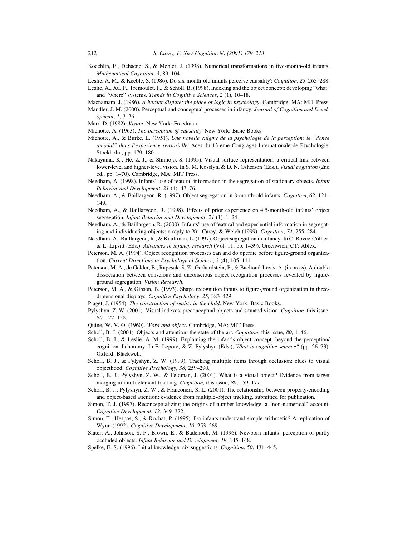- Koechlin, E., Dehaene, S., & Mehler, J. (1998). Numerical transformations in five-month-old infants. Mathematical Cognition, 3, 89-104.
- Leslie, A. M., & Keeble, S. (1986). Do six-month-old infants perceive causality? Cognition, 25, 265–288.
- Leslie, A., Xu, F., Tremoulet, P., & Scholl, B. (1998). Indexing and the object concept: developing "what" and "where" systems. Trends in Cognitive Sciences, 2 (1), 10-18.
- Macnamara, J. (1986). A border dispute: the place of logic in psychology. Cambridge, MA: MIT Press.
- Mandler, J. M. (2000). Perceptual and conceptual processes in infancy. Journal of Cognition and Development, 1, 3–36.
- Marr, D. (1982). Vision. New York: Freedman.
- Michotte, A. (1963). The perception of causality. New York: Basic Books.
- Michotte, A., & Burke, L. (1951). Une novelle enigme de la psychologie de la perception: le "donee amodalº dans l'experience sensorielle. Aces du 13 eme Congrages Internationale de Psychologie, Stockholm, pp. 179-180.
- Nakayama, K., He, Z. J., & Shimojo, S. (1995). Visual surface representation: a critical link between lower-level and higher-level vision. In S. M. Kosslyn, & D. N. Osherson (Eds.), Visual cognition (2nd ed., pp. 1-70). Cambridge, MA: MIT Press.
- Needham, A. (1998). Infants' use of featural information in the segregation of stationary objects. Infant Behavior and Development,  $21$  (1), 47-76.
- Needham, A., & Baillargeon, R. (1997). Object segregation in 8-month-old infants. Cognition, 62, 121-149.
- Needham, A., & Baillargeon, R. (1998). Effects of prior experience on 4.5-month-old infants' object segregation. Infant Behavior and Development, 21 (1), 1-24.
- Needham, A., & Baillargeon, R. (2000). Infants' use of featural and experiential information in segregating and individuating objects: a reply to Xu, Carey, & Welch (1999). Cognition, 74, 255-284.
- Needham, A., Baillargeon, R., & Kauffman, L. (1997). Object segregation in infancy. In C. Rovee-Collier, & L. Lipsitt (Eds.), Advances in infancy research (Vol. 11, pp. 1±39). Greenwich, CT: Ablex.
- Peterson, M. A. (1994). Object recognition processes can and do operate before figure-ground organization. Current Directions in Psychological Science, 3 (4), 105-111.
- Peterson, M. A., de Gelder, B., Rapcsak, S. Z., Gerhardstein, P., & Bachoud-Levis, A. (in press). A double dissociation between conscious and unconscious object recognition processes revealed by figureground segregation. Vision Research.
- Peterson, M. A., & Gibson, B. (1993). Shape recognition inputs to figure-ground organization in threedimensional displays. Cognitive Psychology, 25, 383-429.
- Piaget, J. (1954). The construction of reality in the child. New York: Basic Books.
- Pylyshyn, Z. W. (2001). Visual indexes, preconceptual objects and situated vision. Cognition, this issue, 80, 127-158.
- Quine, W. V. O. (1960). Word and object. Cambridge, MA: MIT Press.
- Scholl, B. J. (2001). Objects and attention: the state of the art. Cognition, this issue,  $80$ ,  $1-46$ .
- Scholl, B. J., & Leslie, A. M. (1999). Explaining the infant's object concept: beyond the perception/ cognition dichotomy. In E. Lepore, & Z. Pylyshyn (Eds.), What is cognitive science? (pp. 26–73). Oxford: Blackwell.
- Scholl, B. J., & Pylyshyn, Z. W. (1999). Tracking multiple items through occlusion: clues to visual objecthood. Cognitive Psychology, 38, 259-290.
- Scholl, B. J., Pylyshyn, Z. W., & Feldman, J. (2001). What is a visual object? Evidence from target merging in multi-element tracking. *Cognition*, this issue, 80, 159-177.
- Scholl, B. J., Pylyshyn, Z. W., & Franconeri, S. L. (2001). The relationship between property-encoding and object-based attention: evidence from multiple-object tracking, submitted for publication.
- Simon, T. J. (1997). Reconceptualizing the origins of number knowledge: a "non-numerical" account. Cognitive Development, 12, 349-372.
- Simon, T., Hespos, S., & Rochat, P. (1995). Do infants understand simple arithmetic? A replication of Wynn (1992). Cognitive Development, 10, 253-269.
- Slater, A., Johnson, S. P., Brown, E., & Badenoch, M. (1996). Newborn infants' perception of partly occluded objects. Infant Behavior and Development, 19, 145-148.
- Spelke, E. S. (1996). Initial knowledge: six suggestions. *Cognition*, 50, 431–445.